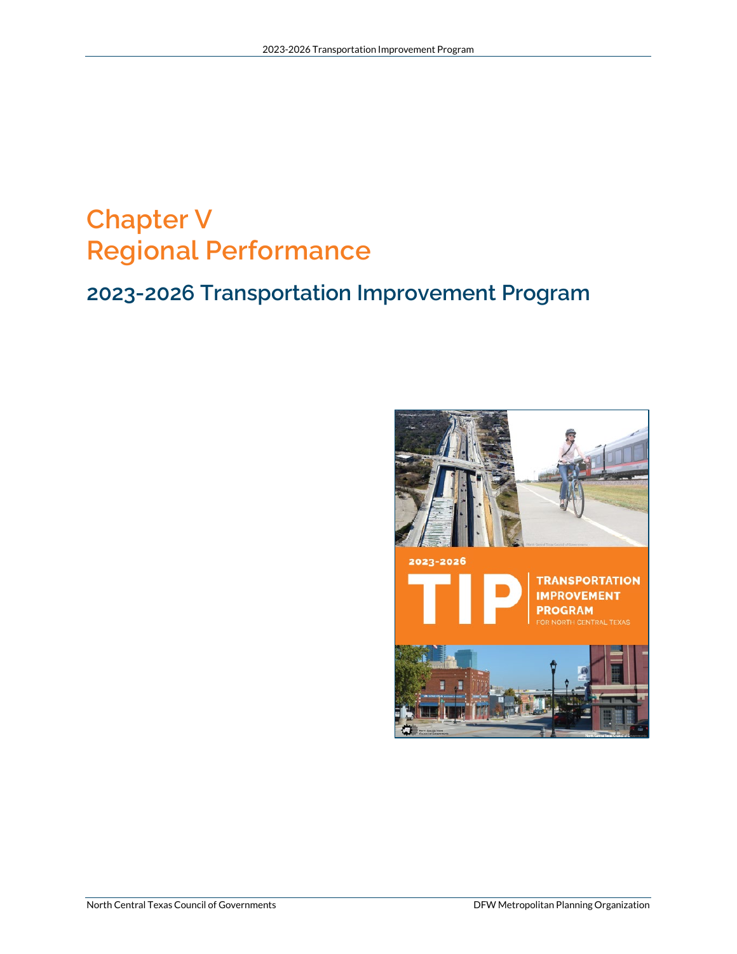# **Chapter V Regional Performance**

# **2023-2026 Transportation Improvement Program**

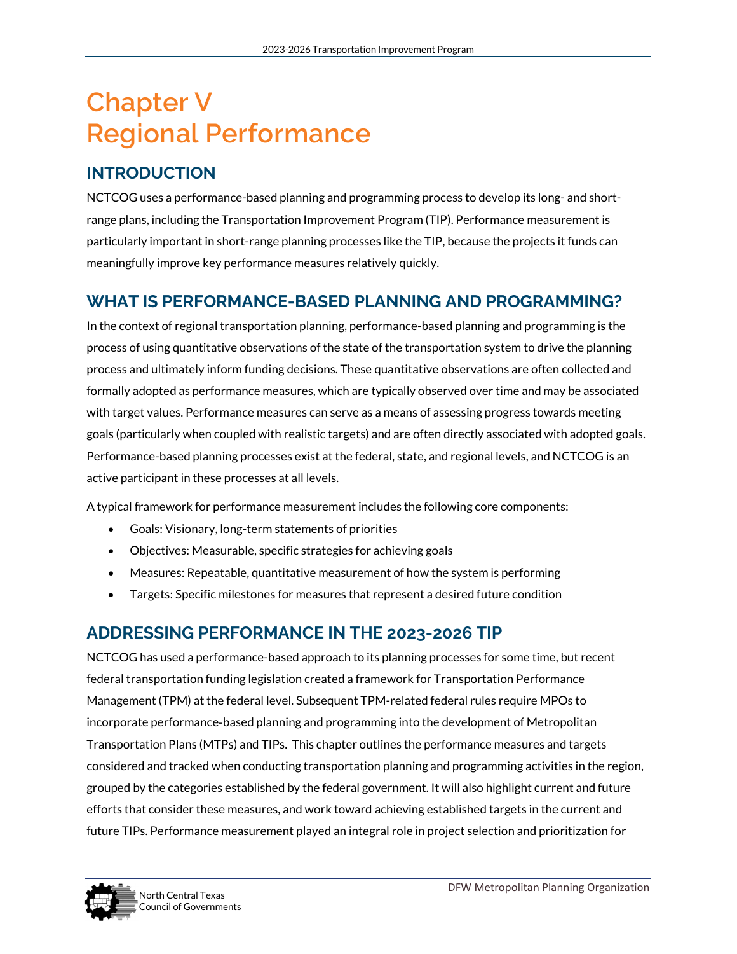# **Chapter V Regional Performance**

# **INTRODUCTION**

NCTCOG uses a performance-based planning and programming process to develop its long- and shortrange plans, including the Transportation Improvement Program (TIP). Performance measurement is particularly important in short-range planning processes like the TIP, because the projects it funds can meaningfully improve key performance measures relatively quickly.

# **WHAT IS PERFORMANCE-BASED PLANNING AND PROGRAMMING?**

In the context of regional transportation planning, performance-based planning and programming is the process of using quantitative observations of the state of the transportation system to drive the planning process and ultimately inform funding decisions. These quantitative observations are often collected and formally adopted as performance measures, which are typically observed over time and may be associated with target values. Performance measures can serve as a means of assessing progress towards meeting goals (particularly when coupled with realistic targets) and are often directly associated with adopted goals. Performance-based planning processes exist at the federal, state, and regional levels, and NCTCOG is an active participant in these processes at all levels.

A typical framework for performance measurement includes the following core components:

- Goals: Visionary, long-term statements of priorities
- Objectives: Measurable, specific strategies for achieving goals
- Measures: Repeatable, quantitative measurement of how the system is performing
- Targets: Specific milestones for measures that represent a desired future condition

# **ADDRESSING PERFORMANCE IN THE 2023-2026 TIP**

NCTCOG has used a performance-based approach to its planning processes for some time, but recent federal transportation funding legislation created a framework for Transportation Performance Management (TPM) at the federal level. Subsequent TPM-related federal rules require MPOs to incorporate performance‐based planning and programming into the development of Metropolitan Transportation Plans (MTPs) and TIPs. This chapter outlines the performance measures and targets considered and tracked when conducting transportation planning and programming activities in the region, grouped by the categories established by the federal government. It will also highlight current and future efforts that consider these measures, and work toward achieving established targets in the current and future TIPs. Performance measurement played an integral role in project selection and prioritization for

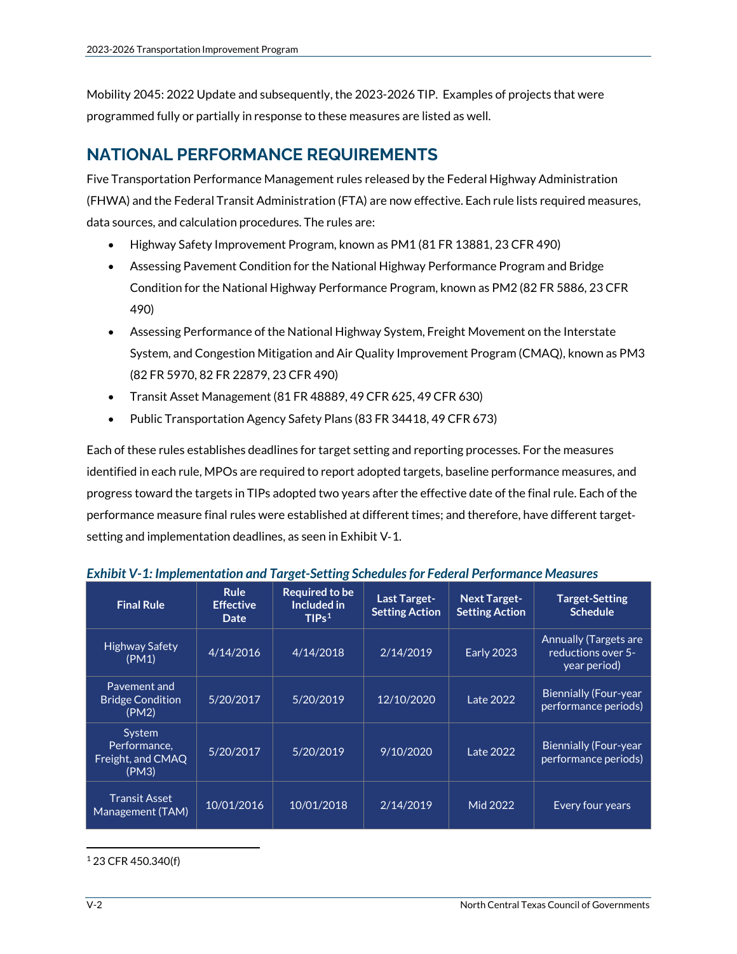Mobility 2045: 2022 Update and subsequently, the 2023-2026 TIP. Examples of projects that were programmed fully or partially in response to these measures are listed as well.

# **NATIONAL PERFORMANCE REQUIREMENTS**

Five Transportation Performance Management rules released by the Federal Highway Administration (FHWA) and the Federal Transit Administration (FTA) are now effective. Each rule lists required measures, data sources, and calculation procedures. The rules are:

- Highway Safety Improvement Program, known as PM1 (81 FR 13881, 23 CFR 490)
- Assessing Pavement Condition for the National Highway Performance Program and Bridge Condition for the National Highway Performance Program, known as PM2 (82 FR 5886, 23 CFR 490)
- Assessing Performance of the National Highway System, Freight Movement on the Interstate System, and Congestion Mitigation and Air Quality Improvement Program (CMAQ), known as PM3 (82 FR 5970, 82 FR 22879, 23 CFR 490)
- Transit Asset Management (81 FR 48889, 49 CFR 625, 49 CFR 630)
- Public Transportation Agency Safety Plans (83 FR 34418, 49 CFR 673)

Each of these rules establishes deadlines for target setting and reporting processes. For the measures identified in each rule, MPOs are required to report adopted targets, baseline performance measures, and progress toward the targets in TIPs adopted two years after the effective date of the final rule. Each of the performance measure final rules were established at different times; and therefore, have different target‐ setting and implementation deadlines, as seen in Exhibit V‐1.

| <b>Final Rule</b>                                    | <b>Rule</b><br><b>Effective</b><br>Date | <b>Required to be</b><br>Included in<br>TIPs <sup>1</sup> | <b>Last Target-</b><br><b>Setting Action</b> | <b>Next Target-</b><br><b>Setting Action</b> | <b>Target-Setting</b><br><b>Schedule</b>                           |
|------------------------------------------------------|-----------------------------------------|-----------------------------------------------------------|----------------------------------------------|----------------------------------------------|--------------------------------------------------------------------|
| <b>Highway Safety</b><br>(PM1)                       | 4/14/2016                               | 4/14/2018                                                 | 2/14/2019                                    | <b>Early 2023</b>                            | <b>Annually (Targets are</b><br>reductions over 5-<br>year period) |
| Pavement and<br><b>Bridge Condition</b><br>(PM2)     | 5/20/2017                               | 5/20/2019                                                 | 12/10/2020                                   | Late 2022                                    | <b>Biennially (Four-year</b><br>performance periods)               |
| System<br>Performance.<br>Freight, and CMAQ<br>(PM3) | 5/20/2017                               | 5/20/2019                                                 | 9/10/2020                                    | Late 2022                                    | <b>Biennially (Four-year</b><br>performance periods)               |
| <b>Transit Asset</b><br>Management (TAM)             | 10/01/2016                              | 10/01/2018                                                | 2/14/2019                                    | Mid 2022                                     | <b>Every four years</b>                                            |

*Exhibit V-1: Implementation and Target-Setting Schedules for Federal Performance Measures*

<span id="page-2-0"></span><sup>1</sup> 23 CFR 450.340(f)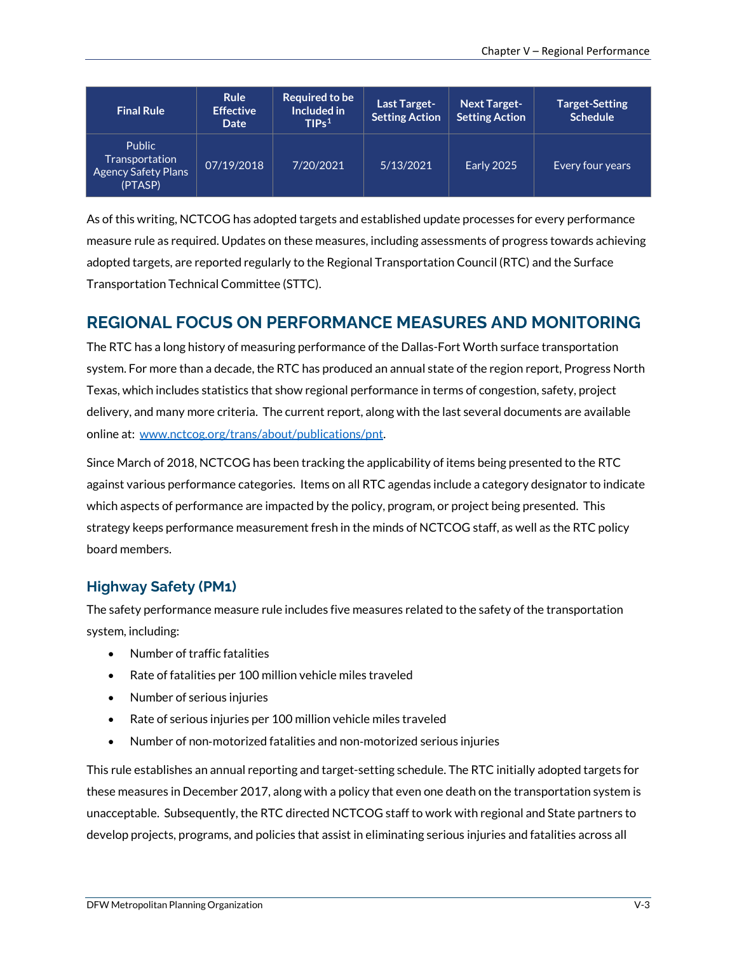| <b>Final Rule</b>                                                        | <b>Rule</b><br><b>Effective</b><br>Date | Required to be<br>Included in<br>TIPs <sup>1</sup> | Last Target-<br><b>Setting Action</b> | <b>Next Target-</b><br><b>Setting Action</b> | <b>Target-Setting</b><br><b>Schedule</b> |
|--------------------------------------------------------------------------|-----------------------------------------|----------------------------------------------------|---------------------------------------|----------------------------------------------|------------------------------------------|
| <b>Public</b><br>Transportation<br><b>Agency Safety Plans</b><br>(PTASP) | 07/19/2018                              | 7/20/2021                                          | 5/13/2021                             | <b>Early 2025</b>                            | Every four years                         |

As of this writing, NCTCOG has adopted targets and established update processes for every performance measure rule as required. Updates on these measures, including assessments of progress towards achieving adopted targets, are reported regularly to the Regional Transportation Council (RTC) and the Surface Transportation Technical Committee (STTC).

# **REGIONAL FOCUS ON PERFORMANCE MEASURES AND MONITORING**

The RTC has a long history of measuring performance of the Dallas-Fort Worth surface transportation system. For more than a decade, the RTC has produced an annual state of the region report, Progress North Texas, which includes statistics that show regional performance in terms of congestion, safety, project delivery, and many more criteria. The current report, along with the last several documents are available online at: [www.nctcog.org/trans/about/publications/pnt.](http://www.nctcog.org/trans/about/publications/pnt) 

Since March of 2018, NCTCOG has been tracking the applicability of items being presented to the RTC against various performance categories. Items on all RTC agendas include a category designator to indicate which aspects of performance are impacted by the policy, program, or project being presented. This strategy keeps performance measurement fresh in the minds of NCTCOG staff, as well as the RTC policy board members.

### **Highway Safety (PM1)**

The safety performance measure rule includes five measures related to the safety of the transportation system, including:

- Number of traffic fatalities
- Rate of fatalities per 100 million vehicle miles traveled
- Number of serious injuries
- Rate of serious injuries per 100 million vehicle miles traveled
- Number of non‐motorized fatalities and non‐motorized serious injuries

This rule establishes an annual reporting and target-setting schedule. The RTC initially adopted targets for these measures in December 2017, along with a policy that even one death on the transportation system is unacceptable. Subsequently, the RTC directed NCTCOG staff to work with regional and State partners to develop projects, programs, and policies that assist in eliminating serious injuries and fatalities across all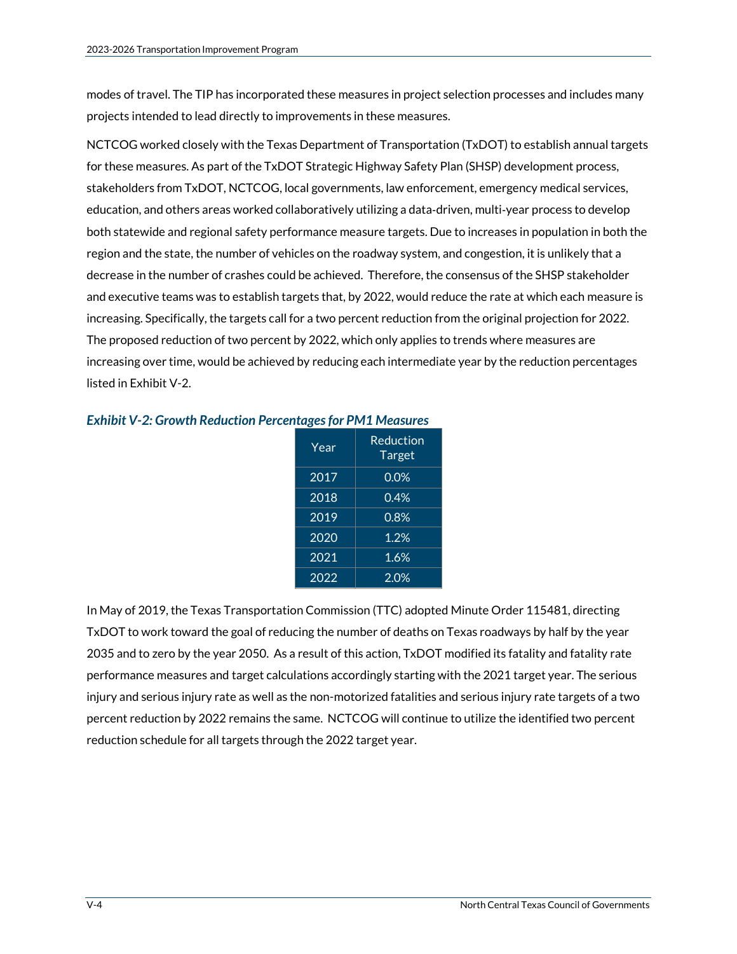modes of travel. The TIP has incorporated these measures in project selection processes and includes many projects intended to lead directly to improvements in these measures.

NCTCOG worked closely with the Texas Department of Transportation (TxDOT) to establish annual targets for these measures. As part of the TxDOT Strategic Highway Safety Plan (SHSP) development process, stakeholders from TxDOT, NCTCOG, local governments, law enforcement, emergency medical services, education, and others areas worked collaboratively utilizing a data‐driven, multi‐year process to develop both statewide and regional safety performance measure targets. Due to increases in population in both the region and the state, the number of vehicles on the roadway system, and congestion, it is unlikely that a decrease in the number of crashes could be achieved. Therefore, the consensus of the SHSP stakeholder and executive teams was to establish targets that, by 2022, would reduce the rate at which each measure is increasing. Specifically, the targets call for a two percent reduction from the original projection for 2022. The proposed reduction of two percent by 2022, which only applies to trends where measures are increasing over time, would be achieved by reducing each intermediate year by the reduction percentages listed in Exhibit V-2.

| Year              | Reduction<br><b>Target</b> |
|-------------------|----------------------------|
| 2017              | 0.0%                       |
| 2018              | 0.4%                       |
| 2019              | 0.8%                       |
| 2020              | 1.2%                       |
| $20\overline{21}$ | 1.6%                       |
| 2022              | 2.0%                       |

*Exhibit V-2: Growth Reduction Percentages for PM1 Measures*

In May of 2019, the Texas Transportation Commission (TTC) adopted Minute Order 115481, directing TxDOT to work toward the goal of reducing the number of deaths on Texas roadways by half by the year 2035 and to zero by the year 2050. As a result of this action, TxDOT modified its fatality and fatality rate performance measures and target calculations accordingly starting with the 2021 target year. The serious injury and serious injury rate as well as the non-motorized fatalities and serious injury rate targets of a two percent reduction by 2022 remains the same. NCTCOG will continue to utilize the identified two percent reduction schedule for all targets through the 2022 target year.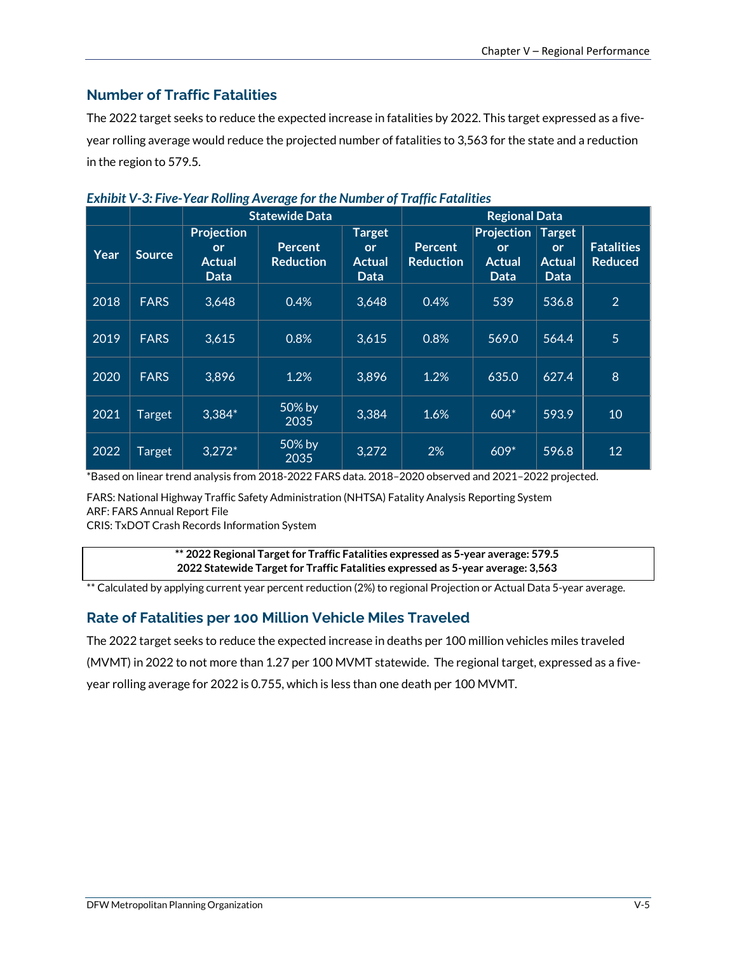# **Number of Traffic Fatalities**

The 2022 target seeks to reduce the expected increase in fatalities by 2022. This target expressed as a fiveyear rolling average would reduce the projected number of fatalities to 3,563 for the state and a reduction in the region to 579.5.

|      |             |                                                  | <b>Statewide Data</b>              |                                              | <b>Regional Data</b>               |                                                         |                                              |                                     |
|------|-------------|--------------------------------------------------|------------------------------------|----------------------------------------------|------------------------------------|---------------------------------------------------------|----------------------------------------------|-------------------------------------|
| Year | Source      | <b>Projection</b><br>or<br><b>Actual</b><br>Data | <b>Percent</b><br><b>Reduction</b> | <b>Target</b><br><b>or</b><br>Actual<br>Data | <b>Percent</b><br><b>Reduction</b> | <b>Projection</b><br><b>or</b><br><b>Actual</b><br>Data | <b>Target</b><br>or<br><b>Actual</b><br>Data | <b>Fatalities</b><br><b>Reduced</b> |
| 2018 | <b>FARS</b> | 3,648                                            | 0.4%                               | 3,648                                        | 0.4%                               | 539                                                     | 536.8                                        | $\overline{2}$                      |
| 2019 | <b>FARS</b> | 3,615                                            | 0.8%                               | 3,615                                        | 0.8%                               | 569.0                                                   | 564.4                                        | 5                                   |
| 2020 | <b>FARS</b> | 3,896                                            | 1.2%                               | 3,896                                        | 1.2%                               | 635.0                                                   | 627.4                                        | 8                                   |
| 2021 | Target      | $3,384*$                                         | 50% by<br>2035                     | 3,384                                        | 1.6%                               | $604*$                                                  | 593.9                                        | 10                                  |
| 2022 | Target      | $3,272*$                                         | 50% by<br>2035                     | 3,272                                        | 2%                                 | $609*$                                                  | 596.8                                        | 12                                  |

#### *Exhibit V-3: Five-Year Rolling Average for the Number of Traffic Fatalities*

\*Based on linear trend analysis from 2018-2022 FARS data. 2018–2020 observed and 2021–2022 projected.

FARS: National Highway Traffic Safety Administration (NHTSA) Fatality Analysis Reporting System ARF: FARS Annual Report File

CRIS: TxDOT Crash Records Information System

**\*\* 2022 Regional Target for Traffic Fatalities expressed as 5-year average: 579.5 2022 Statewide Target for Traffic Fatalities expressed as 5-year average: 3,563**

\*\* Calculated by applying current year percent reduction (2%) to regional Projection or Actual Data 5-year average.

### **Rate of Fatalities per 100 Million Vehicle Miles Traveled**

The 2022 target seeks to reduce the expected increase in deaths per 100 million vehicles miles traveled (MVMT) in 2022 to not more than 1.27 per 100 MVMT statewide. The regional target, expressed as a fiveyear rolling average for 2022 is 0.755, which is less than one death per 100 MVMT.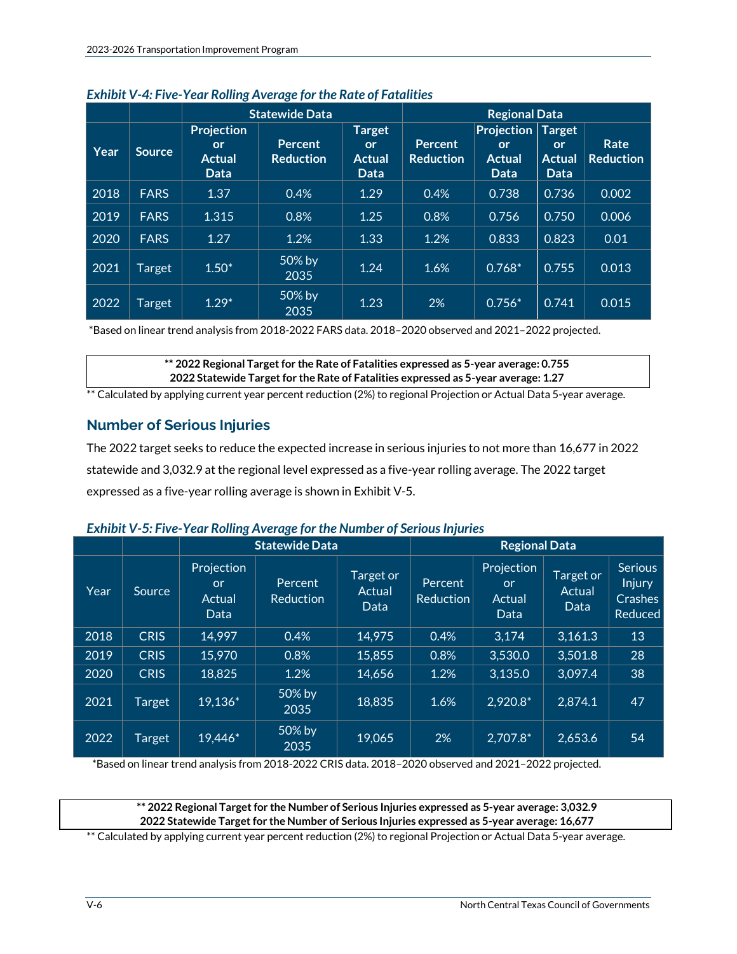|      |               | <b>Statewide Data</b>                                   |                                    |                                                     | <b>Regional Data</b>               |                                                         |                                                            |                          |
|------|---------------|---------------------------------------------------------|------------------------------------|-----------------------------------------------------|------------------------------------|---------------------------------------------------------|------------------------------------------------------------|--------------------------|
| Year | <b>Source</b> | <b>Projection</b><br><b>or</b><br><b>Actual</b><br>Data | <b>Percent</b><br><b>Reduction</b> | <b>Target</b><br><b>or</b><br><b>Actual</b><br>Data | <b>Percent</b><br><b>Reduction</b> | <b>Projection</b><br><b>or</b><br><b>Actual</b><br>Data | <b>Target</b><br><b>or</b><br><b>Actual</b><br><b>Data</b> | Rate<br><b>Reduction</b> |
| 2018 | <b>FARS</b>   | 1.37                                                    | 0.4%                               | 1.29                                                | 0.4%                               | 0.738                                                   | 0.736                                                      | 0.002                    |
| 2019 | <b>FARS</b>   | 1.315                                                   | 0.8%                               | 1.25                                                | 0.8%                               | 0.756                                                   | 0.750                                                      | 0.006                    |
| 2020 | <b>FARS</b>   | 1.27                                                    | 1.2%                               | 1.33                                                | 1.2%                               | 0.833                                                   | 0.823                                                      | 0.01                     |
| 2021 | Target        | $1.50*$                                                 | 50% by<br>2035                     | 1.24                                                | 1.6%                               | $0.768*$                                                | 0.755                                                      | 0.013                    |
| 2022 | Target        | $1.29*$                                                 | 50% by<br>2035                     | 1.23                                                | 2%                                 | $0.756*$                                                | 0.741                                                      | 0.015                    |

#### *Exhibit V-4: Five-Year Rolling Average for the Rate of Fatalities*

\*Based on linear trend analysis from 2018-2022 FARS data. 2018–2020 observed and 2021–2022 projected.

**\*\* 2022 Regional Target for the Rate of Fatalities expressed as 5-year average: 0.755 2022 Statewide Target for the Rate of Fatalities expressed as 5-year average: 1.27**

\*\* Calculated by applying current year percent reduction (2%) to regional Projection or Actual Data 5-year average.

# **Number of Serious Injuries**

The 2022 target seeks to reduce the expected increase in serious injuries to not more than 16,677 in 2022 statewide and 3,032.9 at the regional level expressed as a five-year rolling average. The 2022 target expressed as a five-year rolling average is shown in Exhibit V-5.

| <b>Exhibit V-5: Five-Year Rolling Average for the Number of Serious Injuries</b> |  |
|----------------------------------------------------------------------------------|--|
|----------------------------------------------------------------------------------|--|

|      |             | <b>Statewide Data</b>                     |                             |                             |                      | <b>Regional Data</b>                      |                             |                                                              |
|------|-------------|-------------------------------------------|-----------------------------|-----------------------------|----------------------|-------------------------------------------|-----------------------------|--------------------------------------------------------------|
| Year | Source      | Projection<br><b>or</b><br>Actual<br>Data | Percent<br><b>Reduction</b> | Target or<br>Actual<br>Data | Percent<br>Reduction | Projection<br><b>or</b><br>Actual<br>Data | Target or<br>Actual<br>Data | <b>Serious</b><br><b>Injury</b><br><b>Crashes</b><br>Reduced |
| 2018 | <b>CRIS</b> | 14,997                                    | 0.4%                        | 14,975                      | 0.4%                 | 3,174                                     | 3,161.3                     | 13                                                           |
| 2019 | <b>CRIS</b> | 15,970                                    | 0.8%                        | 15,855                      | 0.8%                 | 3,530.0                                   | 3,501.8                     | 28                                                           |
| 2020 | <b>CRIS</b> | 18,825                                    | 1.2%                        | 14,656                      | 1.2%                 | 3,135.0                                   | 3,097.4                     | 38                                                           |
| 2021 | Target      | 19,136*                                   | 50% by<br>2035              | 18,835                      | 1.6%                 | 2,920.8*                                  | 2,874.1                     | 47                                                           |
| 2022 | Target      | 19,446*                                   | 50% by<br>2035              | 19,065                      | 2%                   | 2,707.8*                                  | 2,653.6                     | 54                                                           |

\*Based on linear trend analysis from 2018-2022 CRIS data. 2018–2020 observed and 2021–2022 projected.

**\*\* 2022 Regional Target for the Number of Serious Injuries expressed as 5-year average: 3,032.9 2022 Statewide Target for the Number of Serious Injuries expressed as 5-year average: 16,677**

\*\* Calculated by applying current year percent reduction (2%) to regional Projection or Actual Data 5-year average.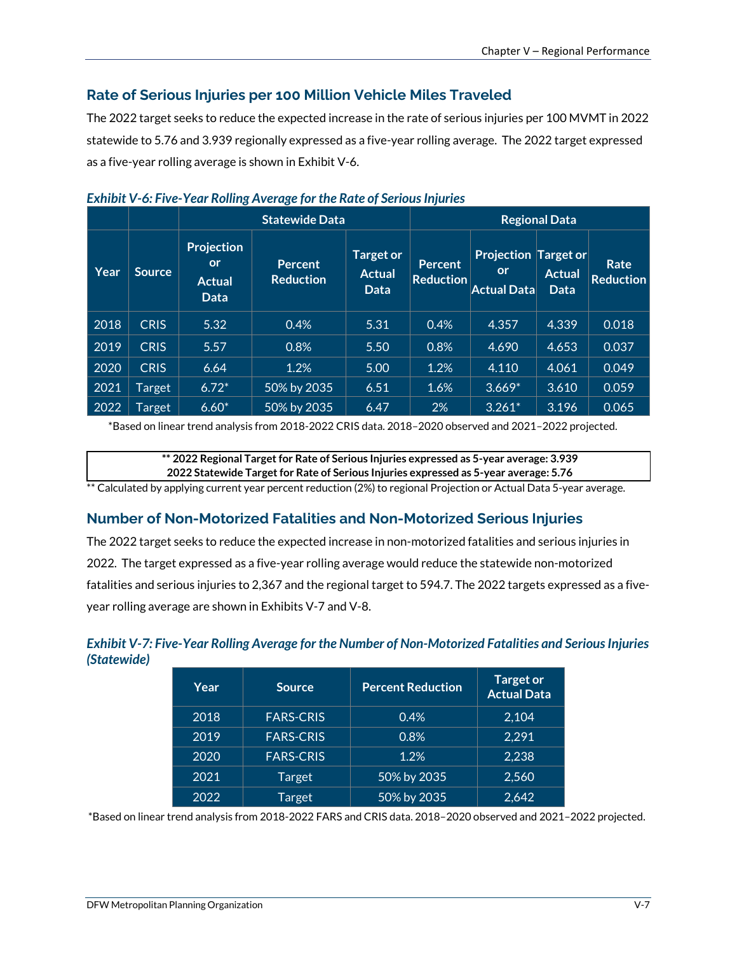## **Rate of Serious Injuries per 100 Million Vehicle Miles Traveled**

The 2022 target seeks to reduce the expected increase in the rate of serious injuries per 100 MVMT in 2022 statewide to 5.76 and 3.939 regionally expressed as a five-year rolling average. The 2022 target expressed as a five-year rolling average is shown in Exhibit V-6.

|      |               | $\sim$ . The state is completed to the state of concerning the set<br><b>Statewide Data</b> |                                    |                                           |                                    |                                                         | <b>Regional Data</b>         |                          |
|------|---------------|---------------------------------------------------------------------------------------------|------------------------------------|-------------------------------------------|------------------------------------|---------------------------------------------------------|------------------------------|--------------------------|
| Year | <b>Source</b> | <b>Projection</b><br><b>or</b><br><b>Actual</b><br><b>Data</b>                              | <b>Percent</b><br><b>Reduction</b> | <b>Target or</b><br><b>Actual</b><br>Data | <b>Percent</b><br><b>Reduction</b> | <b>Projection Target or</b><br>or<br><b>Actual Data</b> | <b>Actual</b><br><b>Data</b> | Rate<br><b>Reduction</b> |
| 2018 | <b>CRIS</b>   | 5.32                                                                                        | 0.4%                               | 5.31                                      | 0.4%                               | 4.357                                                   | 4.339                        | 0.018                    |
| 2019 | <b>CRIS</b>   | 5.57                                                                                        | 0.8%                               | 5.50                                      | 0.8%                               | 4.690                                                   | 4.653                        | 0.037                    |
| 2020 | <b>CRIS</b>   | 6.64                                                                                        | 1.2%                               | 5.00                                      | 1.2%                               | 4.110                                                   | 4.061                        | 0.049                    |
| 2021 | Target        | $6.72*$                                                                                     | 50% by 2035                        | 6.51                                      | 1.6%                               | $3.669*$                                                | 3.610                        | 0.059                    |
| 2022 | Target        | $6.60*$                                                                                     | 50% by 2035                        | 6.47                                      | 2%                                 | $3.261*$                                                | 3.196                        | 0.065                    |

| <b>Exhibit V-6: Five-Year Rolling Average for the Rate of Serious Injuries</b> |  |  |  |
|--------------------------------------------------------------------------------|--|--|--|
|--------------------------------------------------------------------------------|--|--|--|

\*Based on linear trend analysis from 2018-2022 CRIS data. 2018–2020 observed and 2021–2022 projected.

**\*\* 2022 Regional Target for Rate of Serious Injuries expressed as 5-year average: 3.939 2022 Statewide Target for Rate of Serious Injuries expressed as 5-year average: 5.76**

\*\* Calculated by applying current year percent reduction (2%) to regional Projection or Actual Data 5-year average.

### **Number of Non-Motorized Fatalities and Non-Motorized Serious Injuries**

The 2022 target seeks to reduce the expected increase in non-motorized fatalities and serious injuries in 2022. The target expressed as a five-year rolling average would reduce the statewide non-motorized fatalities and serious injuries to 2,367 and the regional target to 594.7. The 2022 targets expressed as a fiveyear rolling average are shown in Exhibits V-7 and V-8.

### *Exhibit V-7: Five-Year Rolling Average for the Number of Non-Motorized Fatalities and Serious Injuries (Statewide)*

| Year | <b>Source</b>    | <b>Percent Reduction</b> | <b>Target or</b><br><b>Actual Data</b> |
|------|------------------|--------------------------|----------------------------------------|
| 2018 | <b>FARS-CRIS</b> | 0.4%                     | 2.104                                  |
| 2019 | <b>FARS-CRIS</b> | 0.8%                     | 2.291                                  |
| 2020 | <b>FARS-CRIS</b> | 1.2%                     | 2,238                                  |
| 2021 | Target           | 50% by 2035              | 2,560                                  |
| 2022 | Target           | 50% by 2035              | 2,642                                  |

\*Based on linear trend analysis from 2018-2022 FARS and CRIS data. 2018–2020 observed and 2021–2022 projected.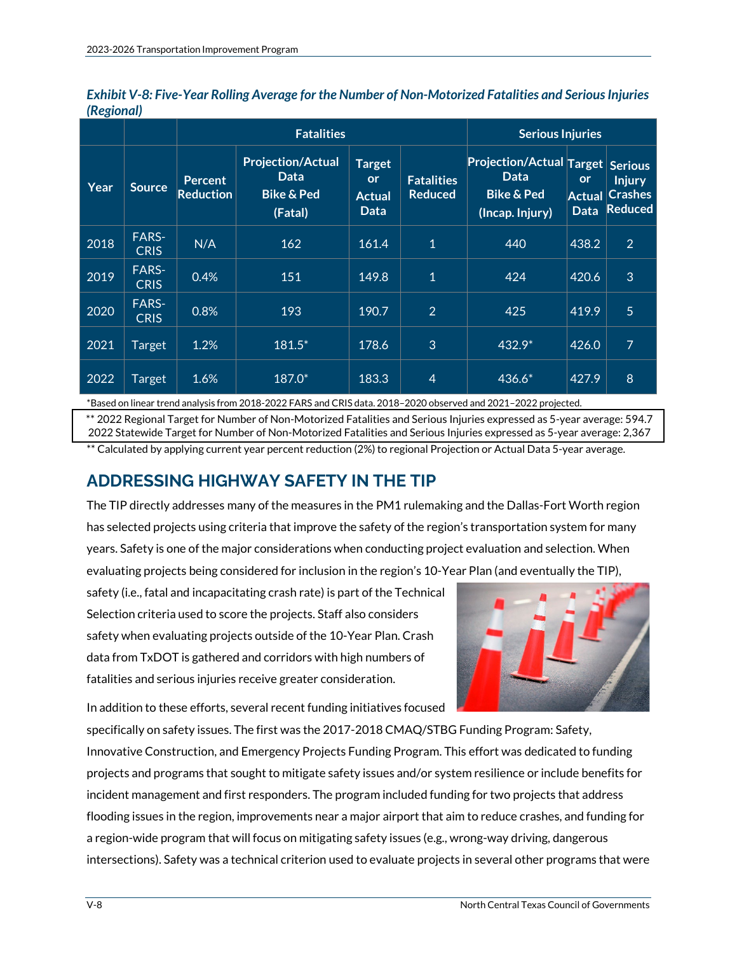|      |                             |                             | <b>Fatalities</b>                                                           | <b>Serious Injuries</b>                      |                                     |                                                                                      |                                           |                                                                     |
|------|-----------------------------|-----------------------------|-----------------------------------------------------------------------------|----------------------------------------------|-------------------------------------|--------------------------------------------------------------------------------------|-------------------------------------------|---------------------------------------------------------------------|
| Year | <b>Source</b>               | Percent<br><b>Reduction</b> | <b>Projection/Actual</b><br><b>Data</b><br><b>Bike &amp; Ped</b><br>(Fatal) | <b>Target</b><br><b>or</b><br>Actual<br>Data | <b>Fatalities</b><br><b>Reduced</b> | <b>Projection/Actual Target</b><br>Data.<br><b>Bike &amp; Ped</b><br>(Incap. Injury) | <b>or</b><br><b>Actual</b><br><b>Data</b> | <b>Serious</b><br><b>Injury</b><br><b>Crashes</b><br><b>Reduced</b> |
| 2018 | <b>FARS-</b><br><b>CRIS</b> | N/A                         | 162                                                                         | 161.4                                        | $\mathbf{1}$                        | 440                                                                                  | 438.2                                     | $\overline{2}$                                                      |
| 2019 | <b>FARS-</b><br><b>CRIS</b> | 0.4%                        | 151                                                                         | 149.8                                        | $\mathbf{1}$                        | 424                                                                                  | 420.6                                     | 3                                                                   |
| 2020 | <b>FARS-</b><br><b>CRIS</b> | 0.8%                        | 193                                                                         | 190.7                                        | $\overline{2}$                      | 425                                                                                  | 419.9                                     | 5                                                                   |
| 2021 | <b>Target</b>               | 1.2%                        | $181.5*$                                                                    | 178.6                                        | 3                                   | $432.9*$                                                                             | 426.0                                     | $\overline{7}$                                                      |
| 2022 | Target                      | 1.6%                        | 187.0*                                                                      | 183.3                                        | $\overline{4}$                      | 436.6*                                                                               | 427.9                                     | 8                                                                   |

*Exhibit V-8: Five-Year Rolling Average for the Number of Non-Motorized Fatalities and Serious Injuries (Regional)*

\*Based on linear trend analysis from 2018-2022 FARS and CRIS data. 2018–2020 observed and 2021–2022 projected.

\*\* 2022 Regional Target for Number of Non-Motorized Fatalities and Serious Injuries expressed as 5-year average: 594.7 2022 Statewide Target for Number of Non-Motorized Fatalities and Serious Injuries expressed as 5-year average: 2,367

\*\* Calculated by applying current year percent reduction (2%) to regional Projection or Actual Data 5-year average.

# **ADDRESSING HIGHWAY SAFETY IN THE TIP**

The TIP directly addresses many of the measures in the PM1 rulemaking and the Dallas-Fort Worth region has selected projects using criteria that improve the safety of the region's transportation system for many years. Safety is one of the major considerations when conducting project evaluation and selection. When evaluating projects being considered for inclusion in the region's 10-Year Plan (and eventually the TIP),

safety (i.e., fatal and incapacitating crash rate) is part of the Technical Selection criteria used to score the projects. Staff also considers safety when evaluating projects outside of the 10-Year Plan. Crash data from TxDOT is gathered and corridors with high numbers of fatalities and serious injuries receive greater consideration.



In addition to these efforts, several recent funding initiatives focused

specifically on safety issues. The first was the 2017-2018 CMAQ/STBG Funding Program: Safety, Innovative Construction, and Emergency Projects Funding Program. This effort was dedicated to funding projects and programs that sought to mitigate safety issues and/or system resilience or include benefits for incident management and first responders. The program included funding for two projects that address flooding issues in the region, improvements near a major airport that aim to reduce crashes, and funding for a region-wide program that will focus on mitigating safety issues (e.g., wrong-way driving, dangerous intersections). Safety was a technical criterion used to evaluate projects in several other programs that were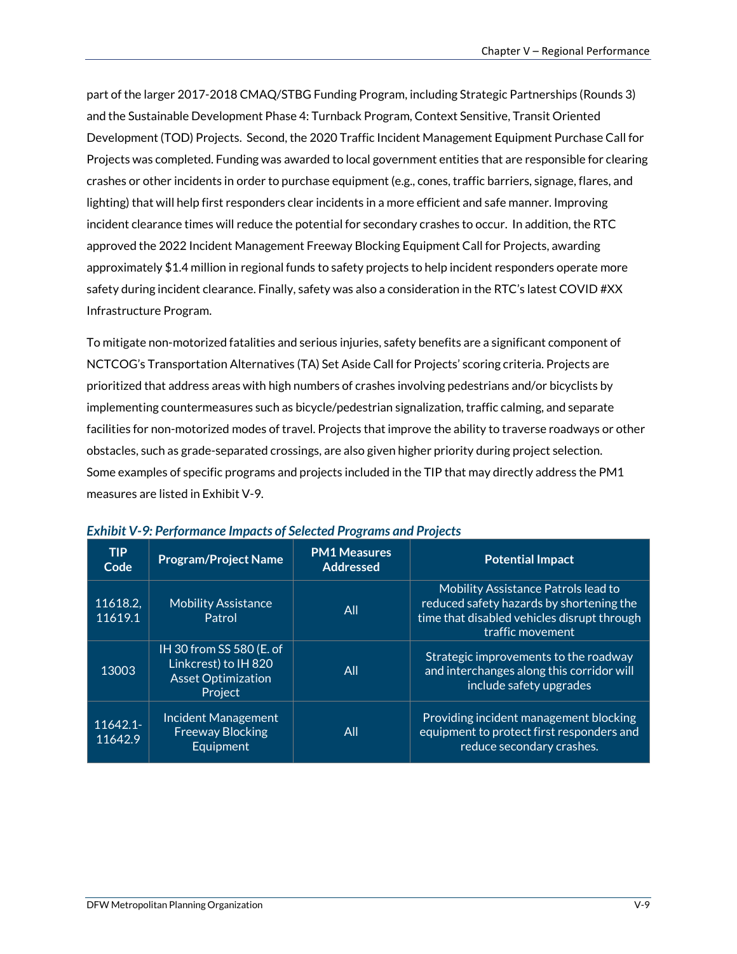part of the larger 2017-2018 CMAQ/STBG Funding Program, including Strategic Partnerships (Rounds 3) and the Sustainable Development Phase 4: Turnback Program, Context Sensitive, Transit Oriented Development (TOD) Projects. Second, the 2020 Traffic Incident Management Equipment Purchase Call for Projects was completed. Funding was awarded to local government entities that are responsible for clearing crashes or other incidents in order to purchase equipment (e.g., cones, traffic barriers, signage, flares, and lighting) that will help first responders clear incidents in a more efficient and safe manner. Improving incident clearance times will reduce the potential for secondary crashes to occur. In addition, the RTC approved the 2022 Incident Management Freeway Blocking Equipment Call for Projects, awarding approximately \$1.4 million in regional funds to safety projects to help incident responders operate more safety during incident clearance. Finally, safety was also a consideration in the RTC's latest COVID #XX Infrastructure Program.

To mitigate non-motorized fatalities and serious injuries, safety benefits are a significant component of NCTCOG's Transportation Alternatives (TA) Set Aside Call for Projects' scoring criteria. Projects are prioritized that address areas with high numbers of crashes involving pedestrians and/or bicyclists by implementing countermeasures such as bicycle/pedestrian signalization, traffic calming, and separate facilities for non-motorized modes of travel. Projects that improve the ability to traverse roadways or other obstacles, such as grade-separated crossings, are also given higher priority during project selection. Some examples of specific programs and projects included in the TIP that may directly address the PM1 measures are listed in Exhibit V-9.

| <b>TIP</b><br>Code  | <b>Program/Project Name</b>                                                              | <b>PM1 Measures</b><br><b>Addressed</b> | <b>Potential Impact</b>                                                                                                                            |
|---------------------|------------------------------------------------------------------------------------------|-----------------------------------------|----------------------------------------------------------------------------------------------------------------------------------------------------|
| 11618.2,<br>11619.1 | <b>Mobility Assistance</b><br>Patrol                                                     | All                                     | Mobility Assistance Patrols lead to<br>reduced safety hazards by shortening the<br>time that disabled vehicles disrupt through<br>traffic movement |
| 13003               | IH 30 from SS 580 (E. of<br>Linkcrest) to IH 820<br><b>Asset Optimization</b><br>Project | All                                     | Strategic improvements to the roadway<br>and interchanges along this corridor will<br>include safety upgrades                                      |
| 11642.1-<br>11642.9 | Incident Management<br><b>Freeway Blocking</b><br>Equipment                              | All                                     | Providing incident management blocking<br>equipment to protect first responders and<br>reduce secondary crashes.                                   |

| <b>Exhibit V-9: Performance Impacts of Selected Programs and Projects</b> |  |  |
|---------------------------------------------------------------------------|--|--|
|---------------------------------------------------------------------------|--|--|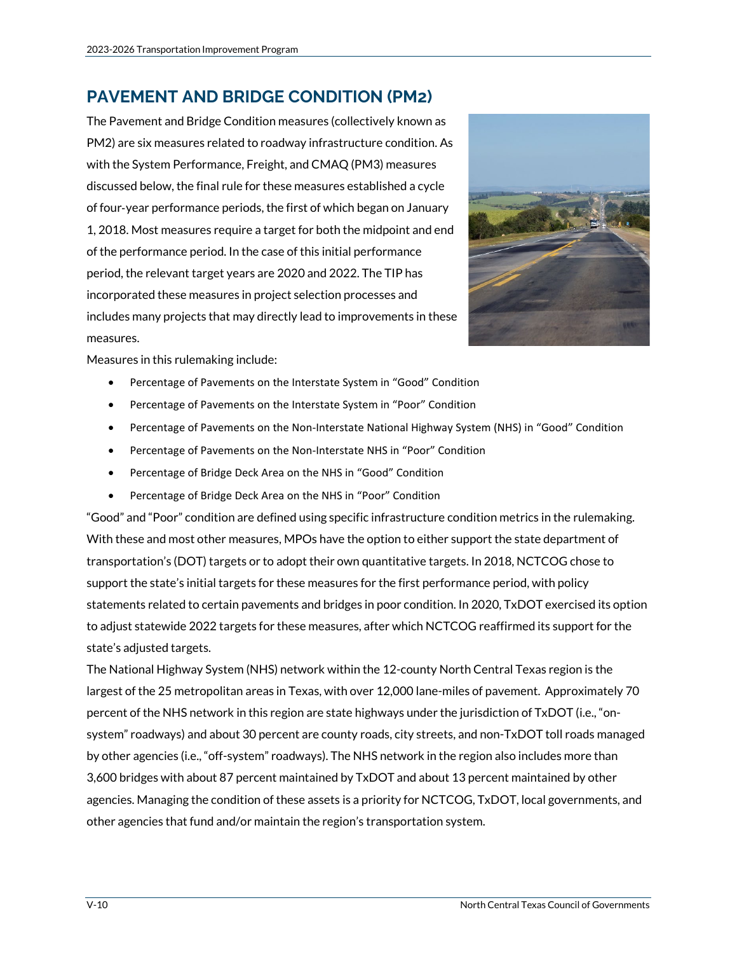# **PAVEMENT AND BRIDGE CONDITION (PM2)**

The Pavement and Bridge Condition measures (collectively known as PM2) are six measures related to roadway infrastructure condition. As with the System Performance, Freight, and CMAQ (PM3) measures discussed below, the final rule for these measures established a cycle of four‐year performance periods, the first of which began on January 1, 2018. Most measures require a target for both the midpoint and end of the performance period. In the case of this initial performance period, the relevant target years are 2020 and 2022. The TIP has incorporated these measures in project selection processes and includes many projects that may directly lead to improvements in these measures.



Measures in this rulemaking include:

- Percentage of Pavements on the Interstate System in "Good" Condition
- Percentage of Pavements on the Interstate System in "Poor" Condition
- Percentage of Pavements on the Non-Interstate National Highway System (NHS) in "Good" Condition
- Percentage of Pavements on the Non-Interstate NHS in "Poor" Condition
- Percentage of Bridge Deck Area on the NHS in "Good" Condition
- Percentage of Bridge Deck Area on the NHS in "Poor" Condition

"Good" and "Poor" condition are defined using specific infrastructure condition metrics in the rulemaking. With these and most other measures, MPOs have the option to either support the state department of transportation's (DOT) targets or to adopt their own quantitative targets. In 2018, NCTCOG chose to support the state's initial targets for these measures for the first performance period, with policy statements related to certain pavements and bridges in poor condition. In 2020, TxDOT exercised its option to adjust statewide 2022 targets for these measures, after which NCTCOG reaffirmed its support for the state's adjusted targets.

The National Highway System (NHS) network within the 12-county North Central Texas region is the largest of the 25 metropolitan areas in Texas, with over 12,000 lane-miles of pavement. Approximately 70 percent of the NHS network in this region are state highways under the jurisdiction of TxDOT (i.e., "onsystem" roadways) and about 30 percent are county roads, city streets, and non-TxDOT toll roads managed by other agencies (i.e., "off-system" roadways). The NHS network in the region also includes more than 3,600 bridges with about 87 percent maintained by TxDOT and about 13 percent maintained by other agencies. Managing the condition of these assets is a priority for NCTCOG, TxDOT, local governments, and other agencies that fund and/or maintain the region's transportation system.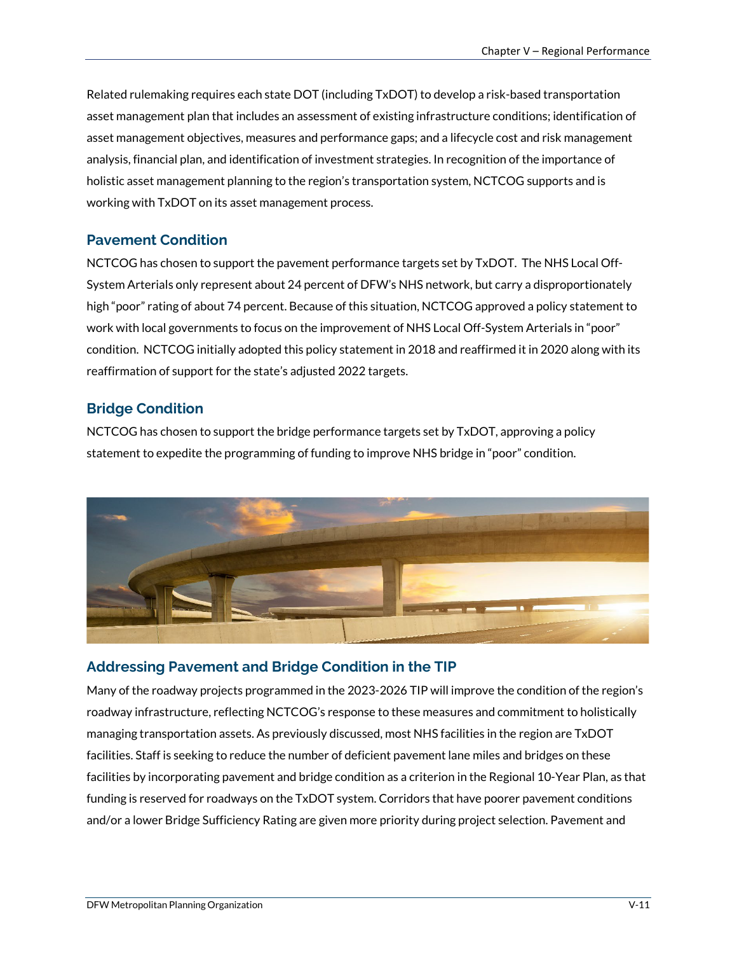Related rulemaking requires each state DOT (including TxDOT) to develop a risk-based transportation asset management plan that includes an assessment of existing infrastructure conditions; identification of asset management objectives, measures and performance gaps; and a lifecycle cost and risk management analysis, financial plan, and identification of investment strategies. In recognition of the importance of holistic asset management planning to the region's transportation system, NCTCOG supports and is working with TxDOT on its asset management process.

### **Pavement Condition**

NCTCOG has chosen to support the pavement performance targets set by TxDOT. The NHS Local Off-System Arterials only represent about 24 percent of DFW's NHS network, but carry a disproportionately high "poor" rating of about 74 percent. Because of this situation, NCTCOG approved a policy statement to work with local governments to focus on the improvement of NHS Local Off-System Arterials in "poor" condition. NCTCOG initially adopted this policy statement in 2018 and reaffirmed it in 2020 along with its reaffirmation of support for the state's adjusted 2022 targets.

# **Bridge Condition**

NCTCOG has chosen to support the bridge performance targets set by TxDOT, approving a policy statement to expedite the programming of funding to improve NHS bridge in "poor" condition.



### **Addressing Pavement and Bridge Condition in the TIP**

Many of the roadway projects programmed in the 2023-2026 TIP will improve the condition of the region's roadway infrastructure, reflecting NCTCOG's response to these measures and commitment to holistically managing transportation assets. As previously discussed, most NHS facilities in the region are TxDOT facilities. Staff is seeking to reduce the number of deficient pavement lane miles and bridges on these facilities by incorporating pavement and bridge condition as a criterion in the Regional 10-Year Plan, as that funding is reserved for roadways on the TxDOT system. Corridors that have poorer pavement conditions and/or a lower Bridge Sufficiency Rating are given more priority during project selection. Pavement and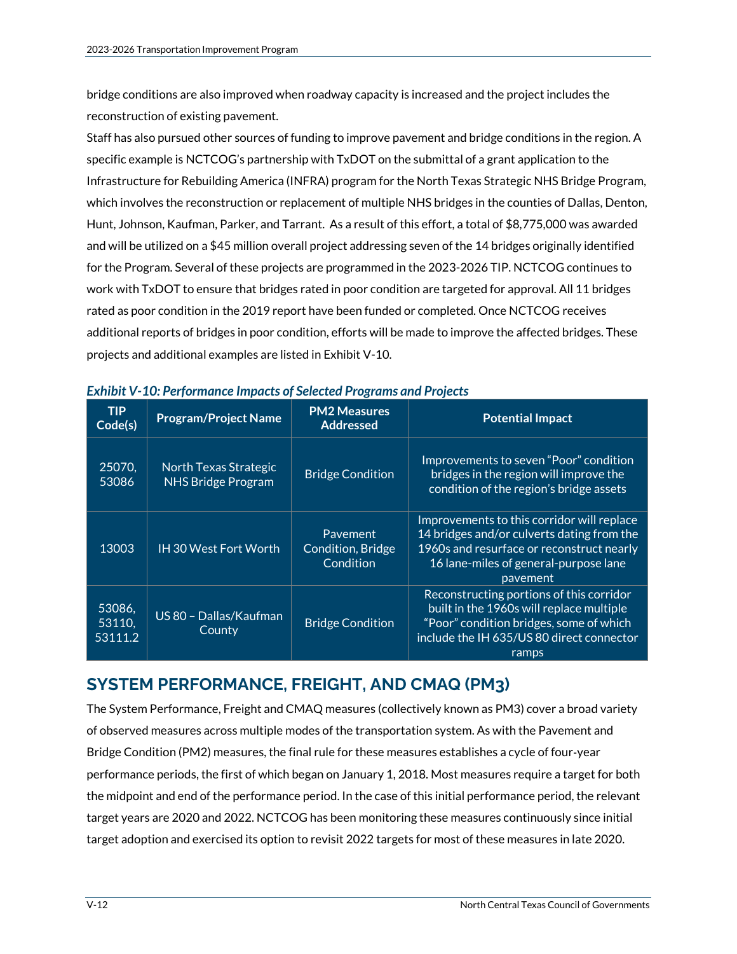bridge conditions are also improved when roadway capacity is increased and the project includes the reconstruction of existing pavement.

Staff has also pursued other sources of funding to improve pavement and bridge conditions in the region. A specific example is NCTCOG's partnership with TxDOT on the submittal of a grant application to the Infrastructure for Rebuilding America (INFRA) program for the North Texas Strategic NHS Bridge Program, which involves the reconstruction or replacement of multiple NHS bridges in the counties of Dallas, Denton, Hunt, Johnson, Kaufman, Parker, and Tarrant. As a result of this effort, a total of \$8,775,000 was awarded and will be utilized on a \$45 million overall project addressing seven of the 14 bridges originally identified for the Program. Several of these projects are programmed in the 2023-2026 TIP. NCTCOG continues to work with TxDOT to ensure that bridges rated in poor condition are targeted for approval. All 11 bridges rated as poor condition in the 2019 report have been funded or completed. Once NCTCOG receives additional reports of bridges in poor condition, efforts will be made to improve the affected bridges. These projects and additional examples are listed in Exhibit V-10.

| <b>TIP</b><br>$\overline{Code(s)}$ | <b>Program/Project Name</b>                               | <b>PM2 Measures</b><br><b>Addressed</b>    | <b>Potential Impact</b>                                                                                                                                                                    |
|------------------------------------|-----------------------------------------------------------|--------------------------------------------|--------------------------------------------------------------------------------------------------------------------------------------------------------------------------------------------|
| 25070,<br>53086                    | <b>North Texas Strategic</b><br><b>NHS Bridge Program</b> | <b>Bridge Condition</b>                    | Improvements to seven "Poor" condition<br>bridges in the region will improve the<br>condition of the region's bridge assets                                                                |
| 13003                              | <b>IH 30 West Fort Worth</b>                              | Pavement<br>Condition, Bridge<br>Condition | Improvements to this corridor will replace<br>14 bridges and/or culverts dating from the<br>1960s and resurface or reconstruct nearly<br>16 lane-miles of general-purpose lane<br>pavement |
| 53086.<br>53110,<br>53111.2        | US 80 - Dallas/Kaufman<br>County                          | <b>Bridge Condition</b>                    | Reconstructing portions of this corridor<br>built in the 1960s will replace multiple<br>"Poor" condition bridges, some of which<br>include the IH 635/US 80 direct connector<br>ramps      |

#### *Exhibit V-10: Performance Impacts of Selected Programs and Projects*

# **SYSTEM PERFORMANCE, FREIGHT, AND CMAQ (PM3)**

The System Performance, Freight and CMAQ measures (collectively known as PM3) cover a broad variety of observed measures across multiple modes of the transportation system. As with the Pavement and Bridge Condition (PM2) measures, the final rule for these measures establishes a cycle of four‐year performance periods, the first of which began on January 1, 2018. Most measures require a target for both the midpoint and end of the performance period. In the case of this initial performance period, the relevant target years are 2020 and 2022. NCTCOG has been monitoring these measures continuously since initial target adoption and exercised its option to revisit 2022 targets for most of these measures in late 2020.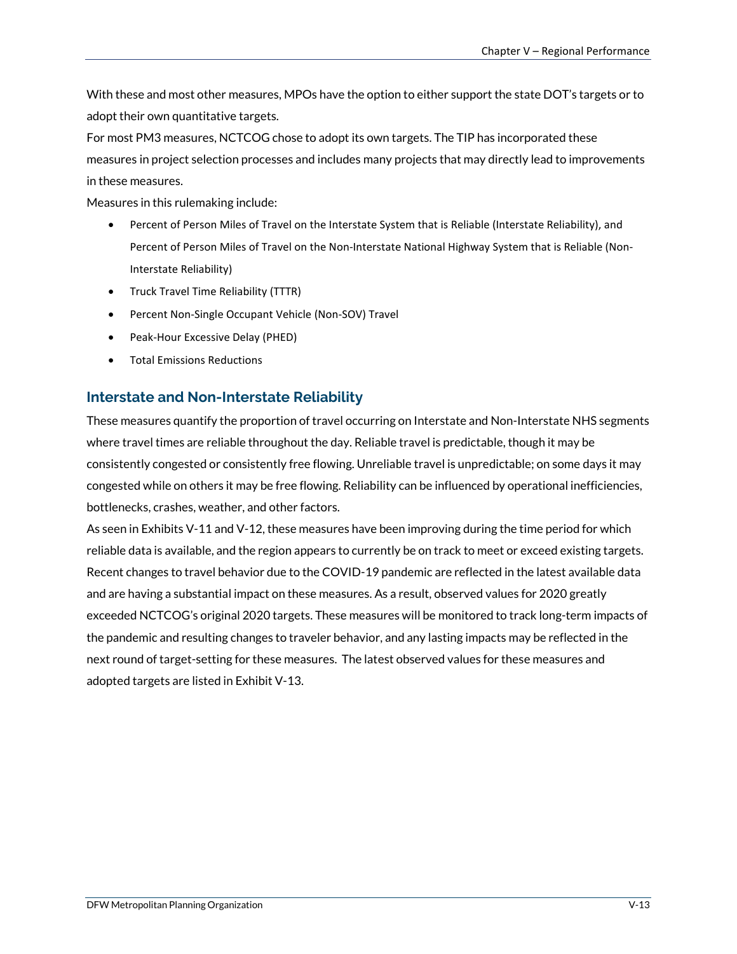With these and most other measures, MPOs have the option to either support the state DOT's targets or to adopt their own quantitative targets.

For most PM3 measures, NCTCOG chose to adopt its own targets. The TIP has incorporated these measures in project selection processes and includes many projects that may directly lead to improvements in these measures.

Measures in this rulemaking include:

- Percent of Person Miles of Travel on the Interstate System that is Reliable (Interstate Reliability), and Percent of Person Miles of Travel on the Non-Interstate National Highway System that is Reliable (Non-Interstate Reliability)
- Truck Travel Time Reliability (TTTR)
- Percent Non-Single Occupant Vehicle (Non-SOV) Travel
- Peak-Hour Excessive Delay (PHED)
- Total Emissions Reductions

### **Interstate and Non-Interstate Reliability**

These measures quantify the proportion of travel occurring on Interstate and Non-Interstate NHS segments where travel times are reliable throughout the day. Reliable travel is predictable, though it may be consistently congested or consistently free flowing. Unreliable travel is unpredictable; on some days it may congested while on others it may be free flowing. Reliability can be influenced by operational inefficiencies, bottlenecks, crashes, weather, and other factors.

As seen in Exhibits V-11 and V-12, these measures have been improving during the time period for which reliable data is available, and the region appears to currently be on track to meet or exceed existing targets. Recent changes to travel behavior due to the COVID-19 pandemic are reflected in the latest available data and are having a substantial impact on these measures. As a result, observed values for 2020 greatly exceeded NCTCOG's original 2020 targets. These measures will be monitored to track long-term impacts of the pandemic and resulting changes to traveler behavior, and any lasting impacts may be reflected in the next round of target-setting for these measures. The latest observed values for these measures and adopted targets are listed in Exhibit V-13.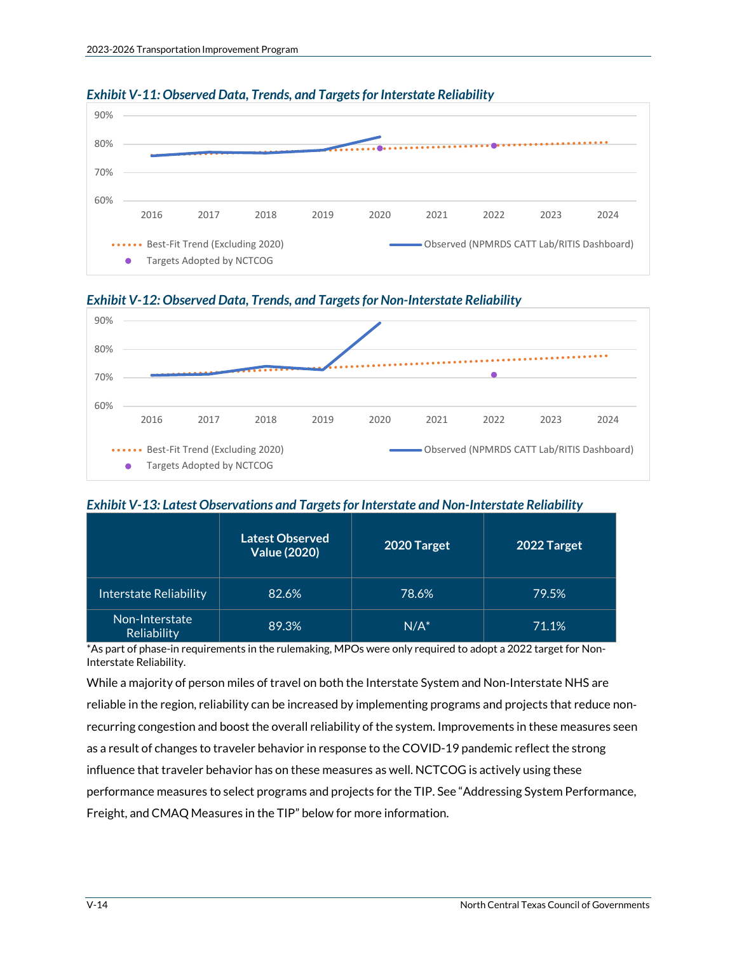

#### *Exhibit V-11: Observed Data, Trends, and Targets for Interstate Reliability*





#### *Exhibit V-13: Latest Observations and Targets for Interstate and Non-Interstate Reliability*

|                               | <b>Latest Observed</b><br><b>Value (2020)</b> | 2020 Target | 2022 Target |
|-------------------------------|-----------------------------------------------|-------------|-------------|
| <b>Interstate Reliability</b> | 82.6%                                         | 78.6%       | 79.5%       |
| Non-Interstate<br>Reliability | 89.3%                                         | $N/A^*$     | 71.1%       |

\*As part of phase-in requirements in the rulemaking, MPOs were only required to adopt a 2022 target for Non-Interstate Reliability.

While a majority of person miles of travel on both the Interstate System and Non‐Interstate NHS are reliable in the region, reliability can be increased by implementing programs and projects that reduce non‐ recurring congestion and boost the overall reliability of the system. Improvements in these measures seen as a result of changes to traveler behavior in response to the COVID-19 pandemic reflect the strong influence that traveler behavior has on these measures as well. NCTCOG is actively using these performance measures to select programs and projects for the TIP. See "Addressing System Performance, Freight, and CMAQ Measures in the TIP" below for more information.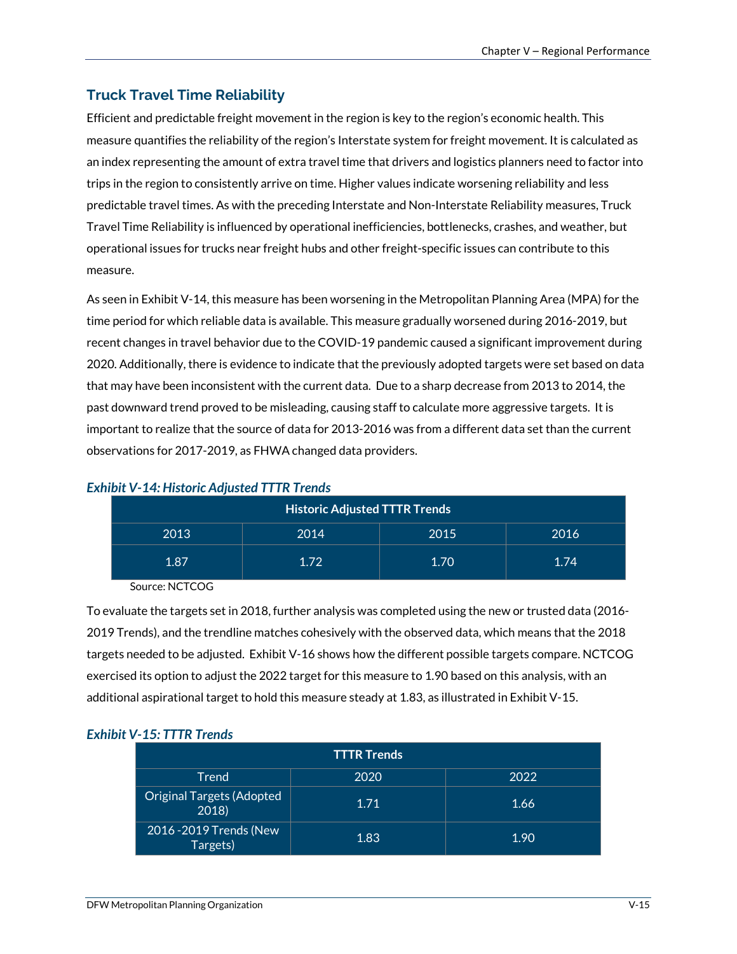# **Truck Travel Time Reliability**

Efficient and predictable freight movement in the region is key to the region's economic health. This measure quantifies the reliability of the region's Interstate system for freight movement. It is calculated as an index representing the amount of extra travel time that drivers and logistics planners need to factor into trips in the region to consistently arrive on time. Higher values indicate worsening reliability and less predictable travel times. As with the preceding Interstate and Non-Interstate Reliability measures, Truck Travel Time Reliability is influenced by operational inefficiencies, bottlenecks, crashes, and weather, but operational issues for trucks near freight hubs and other freight-specific issues can contribute to this measure.

As seen in Exhibit V-14, this measure has been worsening in the Metropolitan Planning Area (MPA) for the time period for which reliable data is available. This measure gradually worsened during 2016-2019, but recent changes in travel behavior due to the COVID-19 pandemic caused a significant improvement during 2020. Additionally, there is evidence to indicate that the previously adopted targets were set based on data that may have been inconsistent with the current data. Due to a sharp decrease from 2013 to 2014, the past downward trend proved to be misleading, causing staff to calculate more aggressive targets. It is important to realize that the source of data for 2013-2016 was from a different data set than the current observations for 2017-2019, as FHWA changed data providers.

| <b>Historic Adjusted TTTR Trends</b> |      |      |      |
|--------------------------------------|------|------|------|
| 2013                                 | 2014 | 2015 | 2016 |
| 1.87                                 | 1.72 | 1.70 | 1.74 |

#### *Exhibit V-14: Historic Adjusted TTTR Trends*

Source: NCTCOG

To evaluate the targets set in 2018, further analysis was completed using the new or trusted data (2016- 2019 Trends), and the trendline matches cohesively with the observed data, which means that the 2018 targets needed to be adjusted. Exhibit V-16 shows how the different possible targets compare. NCTCOG exercised its option to adjust the 2022 target for this measure to 1.90 based on this analysis, with an additional aspirational target to hold this measure steady at 1.83, as illustrated in Exhibit V-15.

| 13. <u>.</u>                        |                    |      |
|-------------------------------------|--------------------|------|
|                                     | <b>TTTR Trends</b> |      |
| Trend                               | 2020               | 2022 |
| Original Targets (Adopted<br>2018   | 1.71               | 1.66 |
| 2016 - 2019 Trends (New<br>Targets) | 1.83               | 1.90 |

#### *Exhibit V-15: TTTR Trends*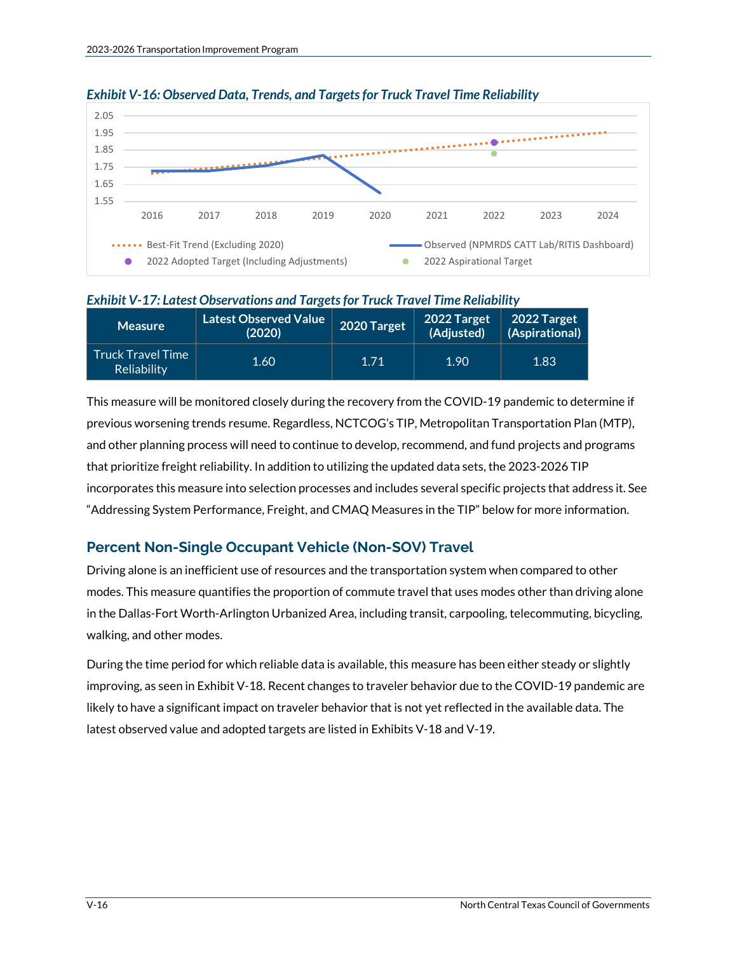

#### *Exhibit V-16: Observed Data, Trends, and Targets for Truck Travel Time Reliability*

#### *Exhibit V-17: Latest Observations and Targets for Truck Travel Time Reliability*

| <b>Measure</b>                          | Latest Observed Value  <br>(2020) | 2020 Target  | 2022 Target<br>(Adjusted) | 2022 Target<br>(Aspirational) |
|-----------------------------------------|-----------------------------------|--------------|---------------------------|-------------------------------|
| <b>Truck Travel Time</b><br>Reliability | 1.60                              | <b>TI</b> 71 | 1.90                      | 1.83                          |

This measure will be monitored closely during the recovery from the COVID-19 pandemic to determine if previous worsening trends resume. Regardless, NCTCOG's TIP, Metropolitan Transportation Plan (MTP), and other planning process will need to continue to develop, recommend, and fund projects and programs that prioritize freight reliability. In addition to utilizing the updated data sets, the 2023-2026 TIP incorporates this measure into selection processes and includes several specific projects that address it. See "Addressing System Performance, Freight, and CMAQ Measures in the TIP" below for more information.

### **Percent Non-Single Occupant Vehicle (Non-SOV) Travel**

Driving alone is an inefficient use of resources and the transportation system when compared to other modes. This measure quantifies the proportion of commute travel that uses modes other than driving alone in the Dallas-Fort Worth-Arlington Urbanized Area, including transit, carpooling, telecommuting, bicycling, walking, and other modes.

During the time period for which reliable data is available, this measure has been either steady or slightly improving, as seen in Exhibit V-18. Recent changes to traveler behavior due to the COVID-19 pandemic are likely to have a significant impact on traveler behavior that is not yet reflected in the available data. The latest observed value and adopted targets are listed in Exhibits V-18 and V-19.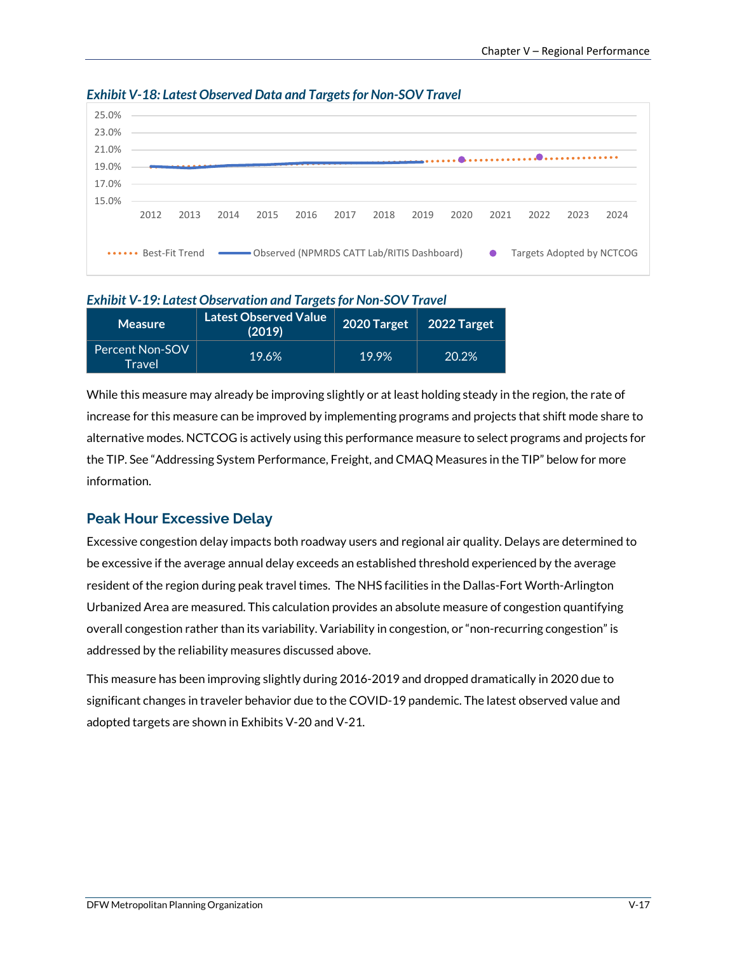

#### *Exhibit V-18: Latest Observed Data and Targetsfor Non-SOV Travel*

#### *Exhibit V-19: Latest Observation and Targets for Non-SOV Travel*

| <b>Measure</b>                   | <b>Latest Observed Value</b><br>(2019) | 2020 Target | $2022$ Target |
|----------------------------------|----------------------------------------|-------------|---------------|
| <b>Percent Non-SOV</b><br>Travel | 19.6%                                  | 19.9%       | 20.2%         |

While this measure may already be improving slightly or at least holding steady in the region, the rate of increase for this measure can be improved by implementing programs and projects that shift mode share to alternative modes. NCTCOG is actively using this performance measure to select programs and projects for the TIP. See "Addressing System Performance, Freight, and CMAQ Measures in the TIP" below for more information.

### **Peak Hour Excessive Delay**

Excessive congestion delay impacts both roadway users and regional air quality. Delays are determined to be excessive if the average annual delay exceeds an established threshold experienced by the average resident of the region during peak travel times. The NHS facilities in the Dallas-Fort Worth-Arlington Urbanized Area are measured. This calculation provides an absolute measure of congestion quantifying overall congestion rather than its variability. Variability in congestion, or "non-recurring congestion" is addressed by the reliability measures discussed above.

This measure has been improving slightly during 2016-2019 and dropped dramatically in 2020 due to significant changes in traveler behavior due to the COVID-19 pandemic. The latest observed value and adopted targets are shown in Exhibits V-20 and V-21.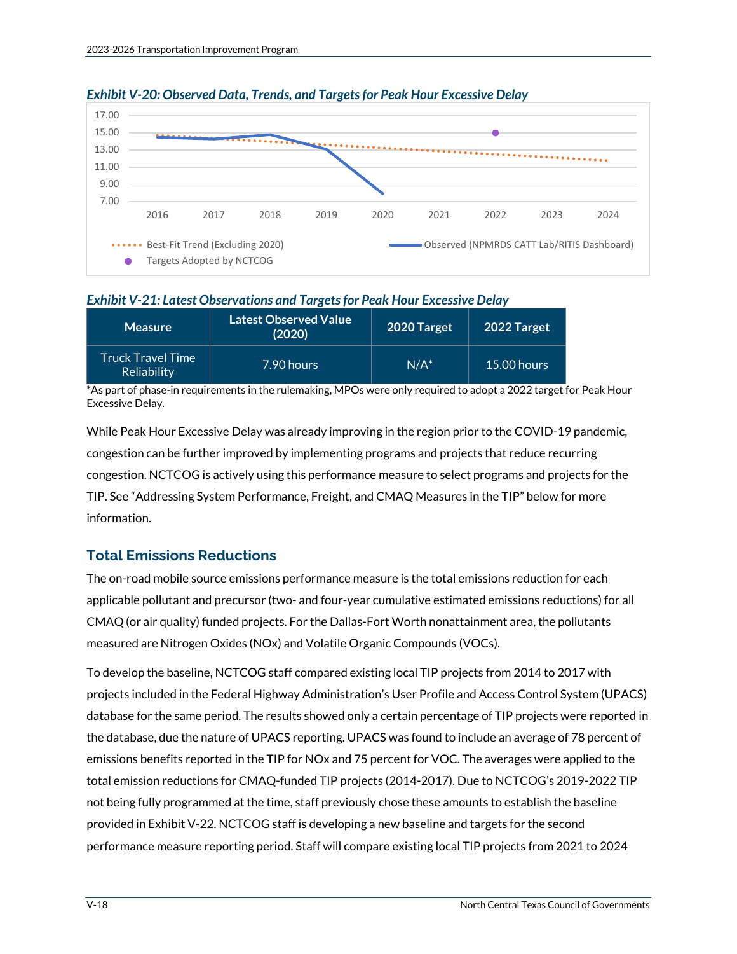

#### *Exhibit V-20: Observed Data, Trends, and Targets for Peak Hour Excessive Delay*

#### *Exhibit V-21: Latest Observations and Targets for Peak Hour Excessive Delay*

| <b>Measure</b>                   | <b>Latest Observed Value</b><br>(2020) | 2020 Target | 2022 Target   |
|----------------------------------|----------------------------------------|-------------|---------------|
| Truck Travel Time<br>Reliability | 7.90 hours                             | $N/A^*$     | $15.00$ hours |

\*As part of phase-in requirements in the rulemaking, MPOs were only required to adopt a 2022 target for Peak Hour Excessive Delay.

While Peak Hour Excessive Delay was already improving in the region prior to the COVID-19 pandemic, congestion can be further improved by implementing programs and projects that reduce recurring congestion. NCTCOG is actively using this performance measure to select programs and projects for the TIP. See "Addressing System Performance, Freight, and CMAQ Measures in the TIP" below for more information.

### **Total Emissions Reductions**

The on-road mobile source emissions performance measure is the total emissions reduction for each applicable pollutant and precursor (two- and four-year cumulative estimated emissions reductions) for all CMAQ (or air quality) funded projects. For the Dallas-Fort Worth nonattainment area, the pollutants measured are Nitrogen Oxides (NOx) and Volatile Organic Compounds (VOCs).

To develop the baseline, NCTCOG staff compared existing local TIP projects from 2014 to 2017 with projects included in the Federal Highway Administration's User Profile and Access Control System (UPACS) database for the same period. The results showed only a certain percentage of TIP projects were reported in the database, due the nature of UPACS reporting. UPACS was found to include an average of 78 percent of emissions benefits reported in the TIP for NOx and 75 percent for VOC. The averages were applied to the total emission reductions for CMAQ-funded TIP projects (2014-2017). Due to NCTCOG's 2019-2022 TIP not being fully programmed at the time, staff previously chose these amounts to establish the baseline provided in Exhibit V-22. NCTCOG staff is developing a new baseline and targets for the second performance measure reporting period. Staff will compare existing local TIP projects from 2021 to 2024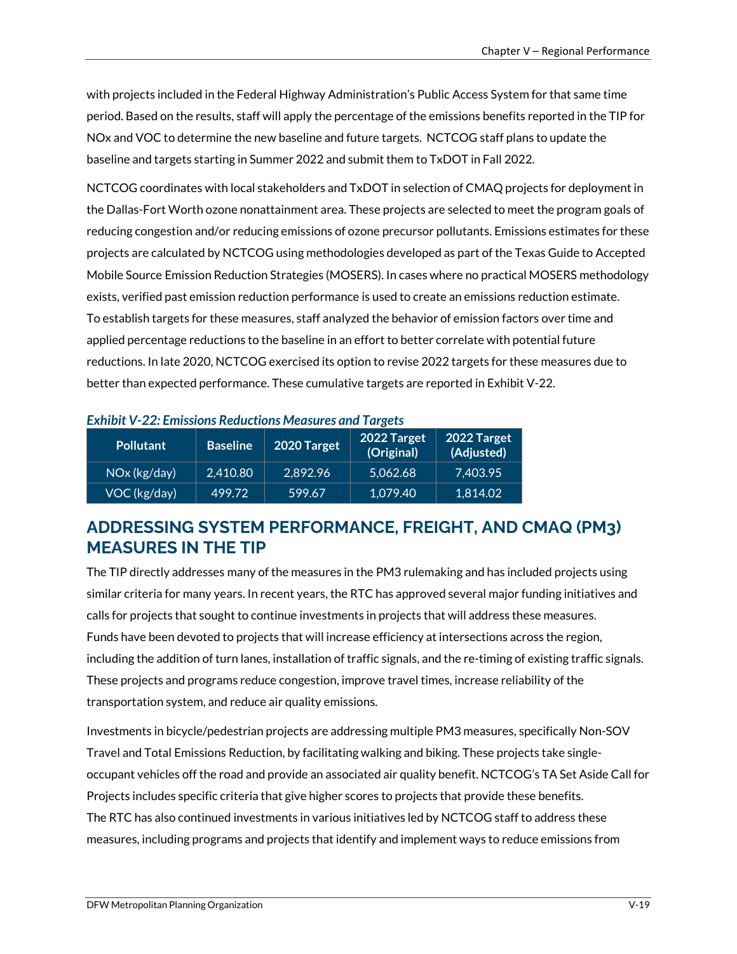with projects included in the Federal Highway Administration's Public Access System for that same time period. Based on the results, staff will apply the percentage of the emissions benefits reported in the TIP for NOx and VOC to determine the new baseline and future targets. NCTCOG staff plans to update the baseline and targets starting in Summer 2022 and submit them to TxDOT in Fall 2022.

NCTCOG coordinates with local stakeholders and TxDOT in selection of CMAQ projects for deployment in the Dallas-Fort Worth ozone nonattainment area. These projects are selected to meet the program goals of reducing congestion and/or reducing emissions of ozone precursor pollutants. Emissions estimates for these projects are calculated by NCTCOG using methodologies developed as part of the Texas Guide to Accepted Mobile Source Emission Reduction Strategies (MOSERS). In cases where no practical MOSERS methodology exists, verified past emission reduction performance is used to create an emissions reduction estimate. To establish targets for these measures, staff analyzed the behavior of emission factors over time and applied percentage reductions to the baseline in an effort to better correlate with potential future reductions. In late 2020, NCTCOG exercised its option to revise 2022 targets for these measures due to better than expected performance. These cumulative targets are reported in Exhibit V-22.

| <b>Pollutant</b> | <b>Baseline</b> | 2020 Target | 2022 Target<br>(Original) | 2022 Target<br>(Adjusted) |
|------------------|-----------------|-------------|---------------------------|---------------------------|
| NOx (kg/day)     | 2,410.80        | 2,892.96    | 5.062.68                  | 7.403.95                  |
| VOC (kg/day)     | 499.72          | 599.67      | 1,079.40                  | 1,814.02                  |

| <b>Exhibit V-22: Emissions Reductions Measures and Targets</b> |  |
|----------------------------------------------------------------|--|
|----------------------------------------------------------------|--|

# **ADDRESSING SYSTEM PERFORMANCE, FREIGHT, AND CMAQ (PM3) MEASURES IN THE TIP**

The TIP directly addresses many of the measures in the PM3 rulemaking and has included projects using similar criteria for many years. In recent years, the RTC has approved several major funding initiatives and calls for projects that sought to continue investments in projects that will address these measures. Funds have been devoted to projects that will increase efficiency at intersections across the region, including the addition of turn lanes, installation of traffic signals, and the re-timing of existing traffic signals. These projects and programs reduce congestion, improve travel times, increase reliability of the transportation system, and reduce air quality emissions.

Investments in bicycle/pedestrian projects are addressing multiple PM3 measures, specifically Non-SOV Travel and Total Emissions Reduction, by facilitating walking and biking. These projects take singleoccupant vehicles off the road and provide an associated air quality benefit. NCTCOG's TA Set Aside Call for Projects includes specific criteria that give higher scores to projects that provide these benefits. The RTC has also continued investments in various initiatives led by NCTCOG staff to address these measures, including programs and projects that identify and implement ways to reduce emissions from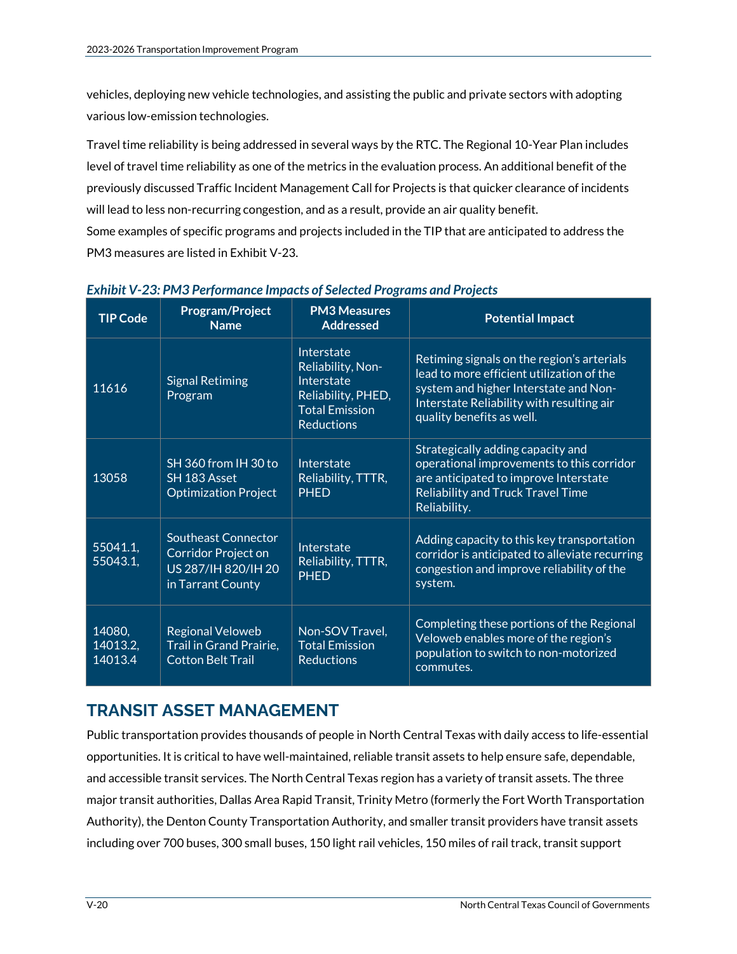vehicles, deploying new vehicle technologies, and assisting the public and private sectors with adopting various low-emission technologies.

Travel time reliability is being addressed in several ways by the RTC. The Regional 10-Year Plan includes level of travel time reliability as one of the metrics in the evaluation process. An additional benefit of the previously discussed Traffic Incident Management Call for Projects is that quicker clearance of incidents will lead to less non-recurring congestion, and as a result, provide an air quality benefit.

Some examples of specific programs and projects included in the TIP that are anticipated to address the PM3 measures are listed in Exhibit V-23.

| <b>TIP Code</b>                   | <b>Program/Project</b><br><b>Name</b>                                                         | <b>PM3 Measures</b><br><b>Addressed</b>                                                                           | <b>Potential Impact</b>                                                                                                                                                                                    |
|-----------------------------------|-----------------------------------------------------------------------------------------------|-------------------------------------------------------------------------------------------------------------------|------------------------------------------------------------------------------------------------------------------------------------------------------------------------------------------------------------|
| 11616                             | <b>Signal Retiming</b><br>Program                                                             | Interstate<br>Reliability, Non-<br>Interstate<br>Reliability, PHED,<br><b>Total Emission</b><br><b>Reductions</b> | Retiming signals on the region's arterials<br>lead to more efficient utilization of the<br>system and higher Interstate and Non-<br>Interstate Reliability with resulting air<br>quality benefits as well. |
| 13058                             | SH 360 from IH 30 to<br>SH 183 Asset<br><b>Optimization Project</b>                           | Interstate<br>Reliability, TTTR,<br><b>PHED</b>                                                                   | Strategically adding capacity and<br>operational improvements to this corridor<br>are anticipated to improve Interstate<br><b>Reliability and Truck Travel Time</b><br>Reliability.                        |
| $55041.\overline{1,}$<br>55043.1, | <b>Southeast Connector</b><br>Corridor Project on<br>US 287/IH 820/IH 20<br>in Tarrant County | Interstate<br>Reliability, TTTR,<br><b>PHED</b>                                                                   | Adding capacity to this key transportation<br>corridor is anticipated to alleviate recurring<br>congestion and improve reliability of the<br>system.                                                       |
| 14080,<br>14013.2,<br>14013.4     | <b>Regional Veloweb</b><br>Trail in Grand Prairie,<br><b>Cotton Belt Trail</b>                | Non-SOV Travel,<br><b>Total Emission</b><br><b>Reductions</b>                                                     | Completing these portions of the Regional<br>Veloweb enables more of the region's<br>population to switch to non-motorized<br>commutes.                                                                    |

#### *Exhibit V-23: PM3 Performance Impacts of Selected Programs and Projects*

# **TRANSIT ASSET MANAGEMENT**

Public transportation provides thousands of people in North Central Texas with daily access to life-essential opportunities. It is critical to have well-maintained, reliable transit assets to help ensure safe, dependable, and accessible transit services. The North Central Texas region has a variety of transit assets. The three major transit authorities, Dallas Area Rapid Transit, Trinity Metro (formerly the Fort Worth Transportation Authority), the Denton County Transportation Authority, and smaller transit providers have transit assets including over 700 buses, 300 small buses, 150 light rail vehicles, 150 miles of rail track, transit support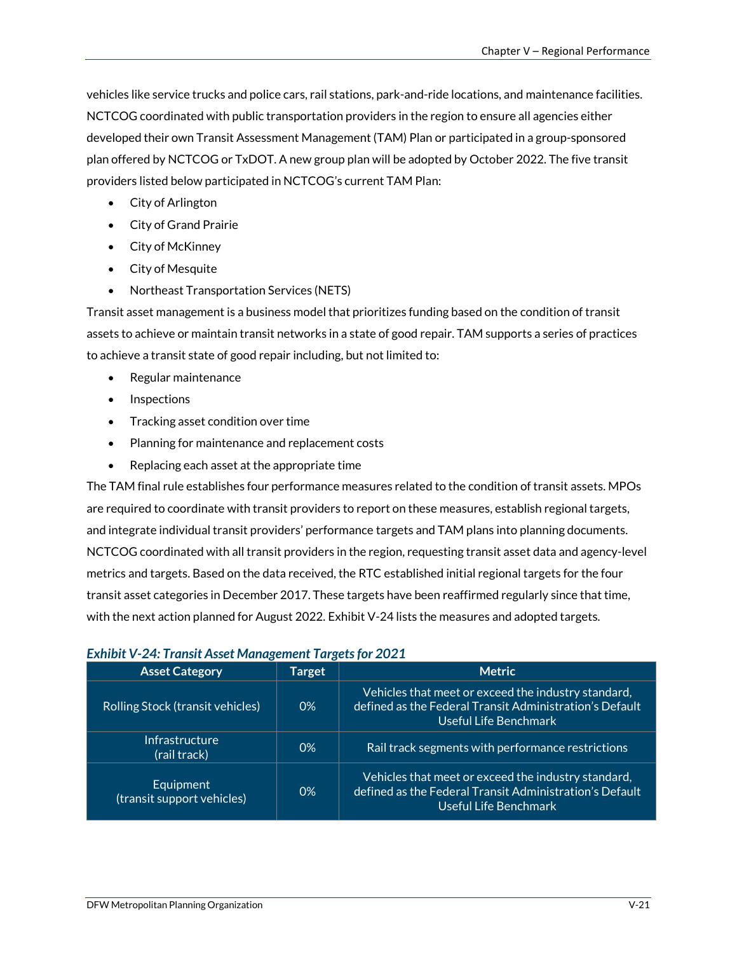vehicles like service trucks and police cars, rail stations, park-and-ride locations, and maintenance facilities. NCTCOG coordinated with public transportation providers in the region to ensure all agencies either developed their own Transit Assessment Management (TAM) Plan or participated in a group-sponsored plan offered by NCTCOG or TxDOT. A new group plan will be adopted by October 2022. The five transit providers listed below participated in NCTCOG's current TAM Plan:

- City of Arlington
- City of Grand Prairie
- City of McKinney
- City of Mesquite
- Northeast Transportation Services (NETS)

Transit asset management is a business model that prioritizes funding based on the condition of transit assets to achieve or maintain transit networks in a state of good repair. TAM supports a series of practices to achieve a transit state of good repair including, but not limited to:

- Regular maintenance
- Inspections
- Tracking asset condition over time
- Planning for maintenance and replacement costs
- Replacing each asset at the appropriate time

The TAM final rule establishes four performance measures related to the condition of transit assets. MPOs are required to coordinate with transit providers to report on these measures, establish regional targets, and integrate individual transit providers' performance targets and TAM plans into planning documents. NCTCOG coordinated with all transit providers in the region, requesting transit asset data and agency-level metrics and targets. Based on the data received, the RTC established initial regional targets for the four transit asset categories in December 2017. These targets have been reaffirmed regularly since that time, with the next action planned for August 2022. Exhibit V-24 lists the measures and adopted targets.

| <b>Asset Category</b>                   | Target | <b>Metric</b>                                                                                                                           |
|-----------------------------------------|--------|-----------------------------------------------------------------------------------------------------------------------------------------|
| <b>Rolling Stock (transit vehicles)</b> | $0\%$  | Vehicles that meet or exceed the industry standard,<br>defined as the Federal Transit Administration's Default<br>Useful Life Benchmark |
| Infrastructure<br>(rail track)          | 0%     | Rail track segments with performance restrictions                                                                                       |
| Equipment<br>(transit support vehicles) | $0\%$  | Vehicles that meet or exceed the industry standard,<br>defined as the Federal Transit Administration's Default<br>Useful Life Benchmark |

#### *Exhibit V-24: Transit Asset Management Targets for 2021*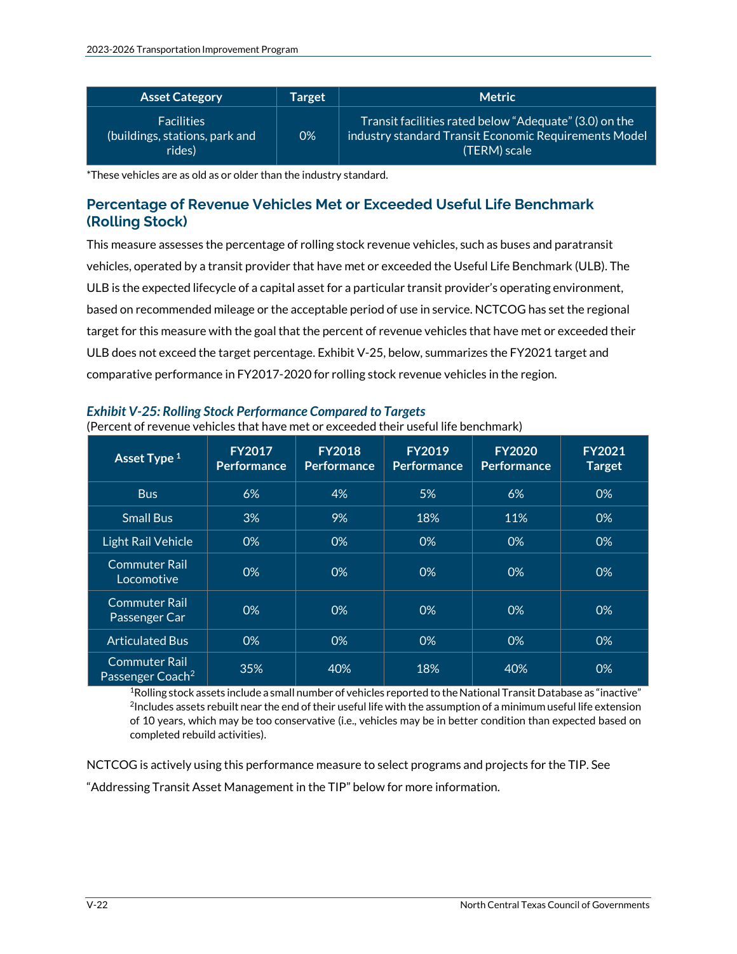| <b>Asset Category</b>                                         | <b>Target</b> | <b>Metric</b>                                                                                                                   |
|---------------------------------------------------------------|---------------|---------------------------------------------------------------------------------------------------------------------------------|
| <b>Facilities</b><br>(buildings, stations, park and<br>rides) | 0%            | Transit facilities rated below "Adequate" (3.0) on the<br>industry standard Transit Economic Requirements Model<br>(TERM) scale |

\*These vehicles are as old as or older than the industry standard.

## **Percentage of Revenue Vehicles Met or Exceeded Useful Life Benchmark (Rolling Stock)**

This measure assesses the percentage of rolling stock revenue vehicles, such as buses and paratransit vehicles, operated by a transit provider that have met or exceeded the Useful Life Benchmark (ULB). The ULB is the expected lifecycle of a capital asset for a particular transit provider's operating environment, based on recommended mileage or the acceptable period of use in service. NCTCOG has set the regional target for this measure with the goal that the percent of revenue vehicles that have met or exceeded their ULB does not exceed the target percentage. Exhibit V-25, below, summarizes the FY2021 target and comparative performance in FY2017-2020 for rolling stock revenue vehicles in the region.

| Asset Type <sup>1</sup>                              | <b>FY2017</b><br><b>Performance</b> | <b>FY2018</b><br><b>Performance</b> | <b>FY2019</b><br><b>Performance</b> | <b>FY2020</b><br><b>Performance</b> | <b>FY2021</b><br><b>Target</b> |
|------------------------------------------------------|-------------------------------------|-------------------------------------|-------------------------------------|-------------------------------------|--------------------------------|
| <b>Bus</b>                                           | 6%                                  | 4%                                  | 5%                                  | 6%                                  | 0%                             |
| <b>Small Bus</b>                                     | 3%                                  | 9%                                  | 18%                                 | 11%                                 | 0%                             |
| Light Rail Vehicle                                   | 0%                                  | 0%                                  | 0%                                  | 0%                                  | 0%                             |
| <b>Commuter Rail</b><br>Locomotive                   | 0%                                  | 0%                                  | 0%                                  | 0%                                  | 0%                             |
| <b>Commuter Rail</b><br>Passenger Car                | 0%                                  | 0%                                  | 0%                                  | 0%                                  | 0%                             |
| <b>Articulated Bus</b>                               | 0%                                  | 0%                                  | 0%                                  | 0%                                  | 0%                             |
| <b>Commuter Rail</b><br>Passenger Coach <sup>2</sup> | 35%                                 | 40%                                 | 18%                                 | 40%                                 | 0%                             |

# *Exhibit V-25: Rolling Stock Performance Compared to Targets*

(Percent of revenue vehicles that have met or exceeded their useful life benchmark)

1Rolling stock assets include a small number of vehicles reported to the National Transit Database as "inactive" <sup>2</sup>Includes assets rebuilt near the end of their useful life with the assumption of a minimum useful life extension of 10 years, which may be too conservative (i.e., vehicles may be in better condition than expected based on completed rebuild activities).

NCTCOG is actively using this performance measure to select programs and projects for the TIP. See

"Addressing Transit Asset Management in the TIP" below for more information.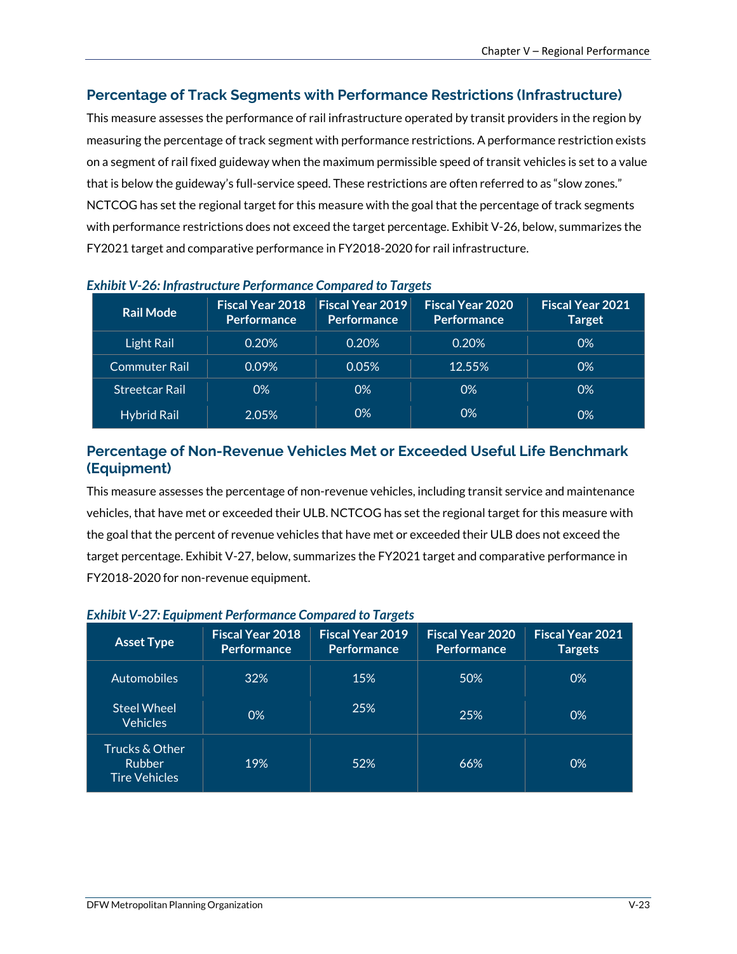## **Percentage of Track Segments with Performance Restrictions (Infrastructure)**

This measure assesses the performance of rail infrastructure operated by transit providers in the region by measuring the percentage of track segment with performance restrictions. A performance restriction exists on a segment of rail fixed guideway when the maximum permissible speed of transit vehicles is set to a value that is below the guideway's full-service speed. These restrictions are often referred to as "slow zones." NCTCOG has set the regional target for this measure with the goal that the percentage of track segments with performance restrictions does not exceed the target percentage. Exhibit V-26, below, summarizes the FY2021 target and comparative performance in FY2018-2020 for rail infrastructure.

| <b>Rail Mode</b>      | Fiscal Year 2018<br><b>Performance</b> | $\mid$ Fiscal Year 2019 $\mid$<br><b>Performance</b> | <b>Fiscal Year 2020</b><br><b>Performance</b> | <b>Fiscal Year 2021</b><br><b>Target</b> |
|-----------------------|----------------------------------------|------------------------------------------------------|-----------------------------------------------|------------------------------------------|
| Light Rail            | 0.20%                                  | 0.20%                                                | 0.20%                                         | 0%                                       |
| <b>Commuter Rail</b>  | 0.09%                                  | 0.05%                                                | 12.55%                                        | 0%                                       |
| <b>Streetcar Rail</b> | 0%                                     | 0%                                                   | $0\%$                                         | 0%                                       |
| <b>Hybrid Rail</b>    | 2.05%                                  | 0%                                                   | 0%                                            | 0%                                       |

### *Exhibit V-26: Infrastructure Performance Compared to Targets*

# **Percentage of Non-Revenue Vehicles Met or Exceeded Useful Life Benchmark (Equipment)**

This measure assesses the percentage of non-revenue vehicles, including transit service and maintenance vehicles, that have met or exceeded their ULB. NCTCOG has set the regional target for this measure with the goal that the percent of revenue vehicles that have met or exceeded their ULB does not exceed the target percentage. Exhibit V-27, below, summarizes the FY2021 target and comparative performance in FY2018-2020 for non-revenue equipment.

# *Exhibit V-27: Equipment Performance Compared to Targets*

| <b>Asset Type</b>                                       | <b>Fiscal Year 2018</b><br><b>Performance</b> | <b>Fiscal Year 2019</b><br><b>Performance</b> | <b>Fiscal Year 2020</b><br><b>Performance</b> | <b>Fiscal Year 2021</b><br><b>Targets</b> |
|---------------------------------------------------------|-----------------------------------------------|-----------------------------------------------|-----------------------------------------------|-------------------------------------------|
| <b>Automobiles</b>                                      | 32%                                           | 15%                                           | 50%                                           | 0%                                        |
| Steel Wheel<br><b>Vehicles</b>                          | 0%                                            | <b>25%</b>                                    | 25%                                           | 0%                                        |
| Trucks & Other<br><b>Rubber</b><br><b>Tire Vehicles</b> | 19%                                           | 52%                                           | 66%                                           | 0%                                        |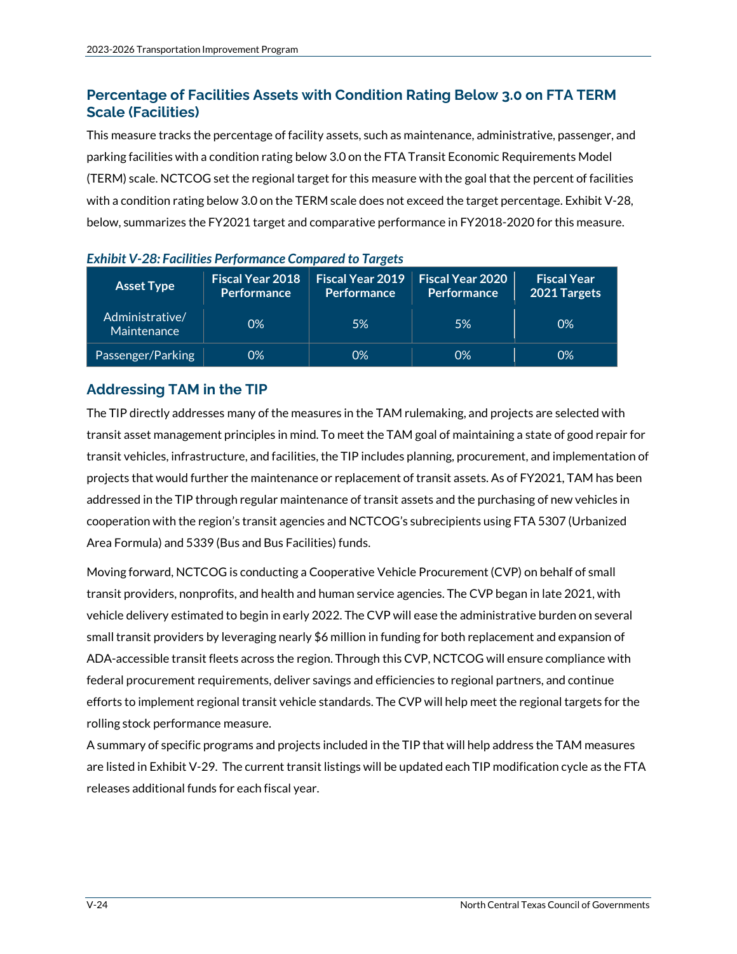# **Percentage of Facilities Assets with Condition Rating Below 3.0 on FTA TERM Scale (Facilities)**

This measure tracks the percentage of facility assets, such as maintenance, administrative, passenger, and parking facilities with a condition rating below 3.0 on the FTA Transit Economic Requirements Model (TERM) scale. NCTCOG set the regional target for this measure with the goal that the percent of facilities with a condition rating below 3.0 on the TERM scale does not exceed the target percentage. Exhibit V-28, below, summarizes the FY2021 target and comparative performance in FY2018-2020 for this measure.

| <b>Asset Type</b>              | <b>Fiscal Year 2018</b><br>Performance | <b>Fiscal Year 2019</b><br><b>Performance</b> | <b>Fiscal Year 2020</b><br><b>Performance</b> | <b>Fiscal Year</b><br>2021 Targets |
|--------------------------------|----------------------------------------|-----------------------------------------------|-----------------------------------------------|------------------------------------|
| Administrative/<br>Maintenance | 0%                                     | 5%                                            | 5%                                            | 0%                                 |
| Passenger/Parking              | 0%                                     | 0%                                            | 0%                                            | 0%                                 |

| Exhibit V-28: Facilities Performance Compared to Targets |  |  |  |
|----------------------------------------------------------|--|--|--|
|----------------------------------------------------------|--|--|--|

# **Addressing TAM in the TIP**

The TIP directly addresses many of the measures in the TAM rulemaking, and projects are selected with transit asset management principles in mind. To meet the TAM goal of maintaining a state of good repair for transit vehicles, infrastructure, and facilities, the TIP includes planning, procurement, and implementation of projects that would further the maintenance or replacement of transit assets. As of FY2021, TAM has been addressed in the TIP through regular maintenance of transit assets and the purchasing of new vehicles in cooperation with the region's transit agencies and NCTCOG's subrecipients using FTA 5307 (Urbanized Area Formula) and 5339 (Bus and Bus Facilities) funds.

Moving forward, NCTCOG is conducting a Cooperative Vehicle Procurement (CVP) on behalf of small transit providers, nonprofits, and health and human service agencies. The CVP began in late 2021, with vehicle delivery estimated to begin in early 2022. The CVP will ease the administrative burden on several small transit providers by leveraging nearly \$6 million in funding for both replacement and expansion of ADA-accessible transit fleets across the region. Through this CVP, NCTCOG will ensure compliance with federal procurement requirements, deliver savings and efficiencies to regional partners, and continue efforts to implement regional transit vehicle standards. The CVP will help meet the regional targets for the rolling stock performance measure.

A summary of specific programs and projects included in the TIP that will help address the TAM measures are listed in Exhibit V-29. The current transit listings will be updated each TIP modification cycle as the FTA releases additional funds for each fiscal year.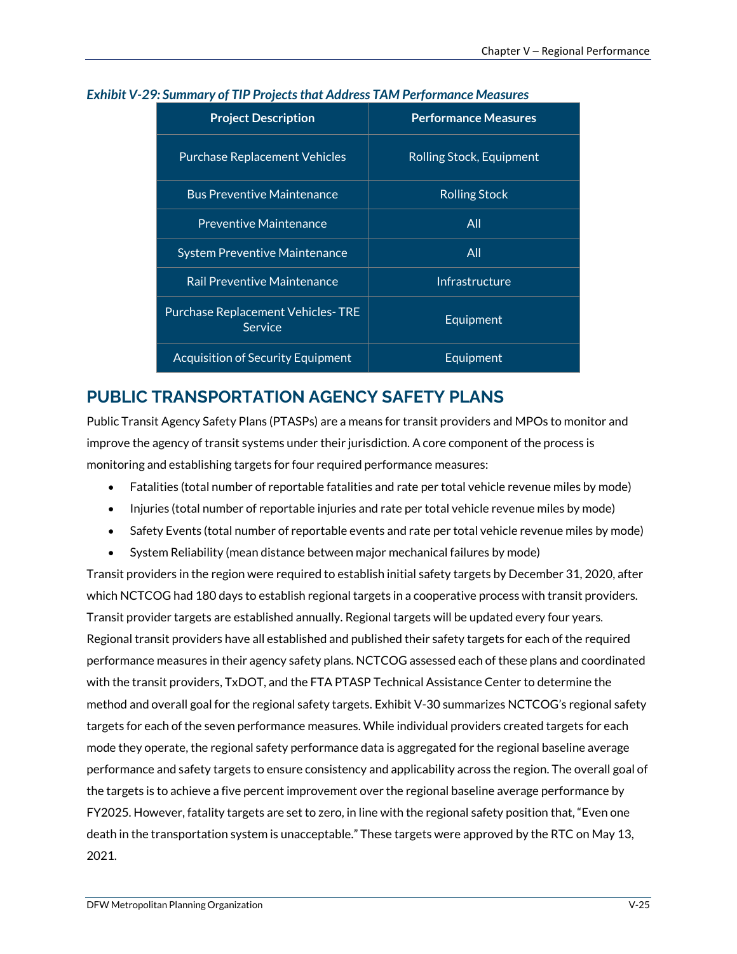| <b>Project Description</b>                          | <b>Performance Measures</b> |  |
|-----------------------------------------------------|-----------------------------|--|
| <b>Purchase Replacement Vehicles</b>                | Rolling Stock, Equipment    |  |
| <b>Bus Preventive Maintenance</b>                   | <b>Rolling Stock</b>        |  |
| <b>Preventive Maintenance</b>                       | All                         |  |
| <b>System Preventive Maintenance</b>                | All                         |  |
| <b>Rail Preventive Maintenance</b>                  | Infrastructure              |  |
| <b>Purchase Replacement Vehicles-TRE</b><br>Service | Equipment                   |  |
| <b>Acquisition of Security Equipment</b>            | Equipment                   |  |

#### *Exhibit V-29: Summary of TIP Projects that Address TAM Performance Measures*

# **PUBLIC TRANSPORTATION AGENCY SAFETY PLANS**

Public Transit Agency Safety Plans (PTASPs) are a means for transit providers and MPOs to monitor and improve the agency of transit systems under their jurisdiction. A core component of the process is monitoring and establishing targets for four required performance measures:

- Fatalities (total number of reportable fatalities and rate per total vehicle revenue miles by mode)
- Injuries (total number of reportable injuries and rate per total vehicle revenue miles by mode)
- Safety Events (total number of reportable events and rate per total vehicle revenue miles by mode)
- System Reliability (mean distance between major mechanical failures by mode)

Transit providers in the region were required to establish initial safety targets by December 31, 2020, after which NCTCOG had 180 days to establish regional targets in a cooperative process with transit providers. Transit provider targets are established annually. Regional targets will be updated every four years. Regional transit providers have all established and published their safety targets for each of the required performance measures in their agency safety plans. NCTCOG assessed each of these plans and coordinated with the transit providers, TxDOT, and the FTA PTASP Technical Assistance Center to determine the method and overall goal for the regional safety targets. Exhibit V-30 summarizes NCTCOG's regional safety targets for each of the seven performance measures. While individual providers created targets for each mode they operate, the regional safety performance data is aggregated for the regional baseline average performance and safety targets to ensure consistency and applicability across the region. The overall goal of the targets is to achieve a five percent improvement over the regional baseline average performance by FY2025. However, fatality targets are set to zero, in line with the regional safety position that, "Even one death in the transportation system is unacceptable." These targets were approved by the RTC on May 13, 2021.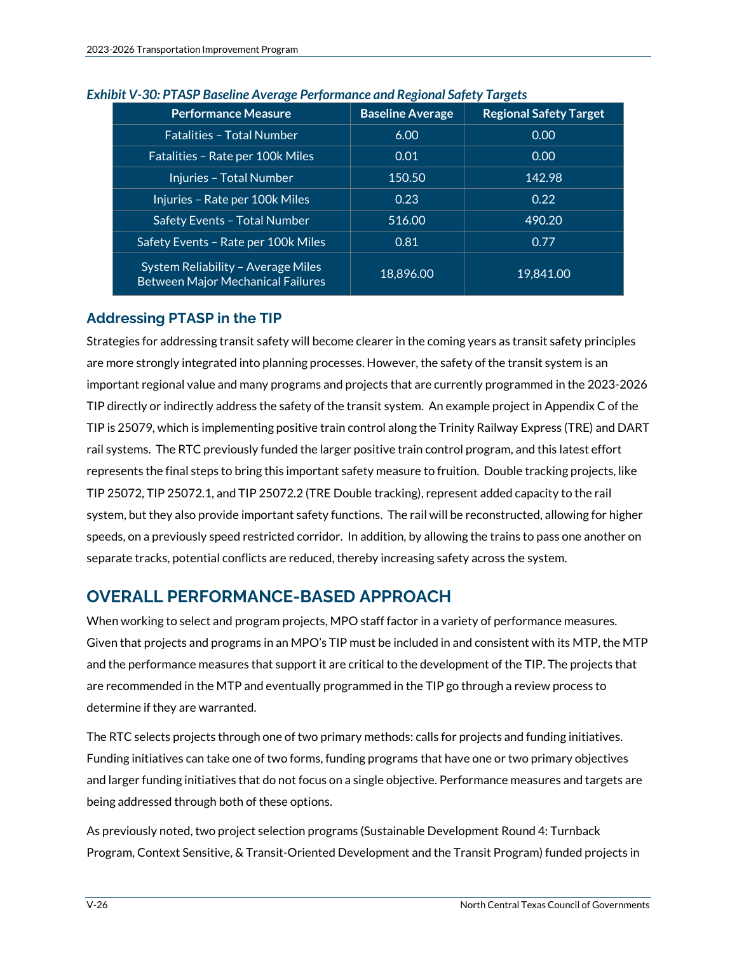| <b>Performance Measure</b>                                                     | <b>Baseline Average</b> | <b>Regional Safety Target</b> |
|--------------------------------------------------------------------------------|-------------------------|-------------------------------|
| <b>Fatalities - Total Number</b>                                               | 6.00                    | 0.00                          |
| Fatalities - Rate per 100k Miles                                               | 0.01                    | 0.00                          |
| Injuries - Total Number                                                        | 150.50                  | 142.98                        |
| Injuries - Rate per 100k Miles                                                 | 0.23                    | 0.22                          |
| Safety Events - Total Number                                                   | 516.00                  | 490.20                        |
| Safety Events - Rate per 100k Miles                                            | 0.81                    | 0.77                          |
| System Reliability - Average Miles<br><b>Between Major Mechanical Failures</b> | 18,896.00               | 19,841.00                     |

#### *Exhibit V-30: PTASP Baseline Average Performance and Regional Safety Targets*

# **Addressing PTASP in the TIP**

Strategies for addressing transit safety will become clearer in the coming years as transit safety principles are more strongly integrated into planning processes. However, the safety of the transit system is an important regional value and many programs and projects that are currently programmed in the 2023-2026 TIP directly or indirectly address the safety of the transit system. An example project in Appendix C of the TIP is 25079, which is implementing positive train control along the Trinity Railway Express (TRE) and DART rail systems. The RTC previously funded the larger positive train control program, and this latest effort represents the final steps to bring this important safety measure to fruition. Double tracking projects, like TIP 25072, TIP 25072.1, and TIP 25072.2 (TRE Double tracking), represent added capacity to the rail system, but they also provide important safety functions. The rail will be reconstructed, allowing for higher speeds, on a previously speed restricted corridor. In addition, by allowing the trains to pass one another on separate tracks, potential conflicts are reduced, thereby increasing safety across the system.

# **OVERALL PERFORMANCE-BASED APPROACH**

When working to select and program projects, MPO staff factor in a variety of performance measures. Given that projects and programs in an MPO's TIP must be included in and consistent with its MTP, the MTP and the performance measures that support it are critical to the development of the TIP. The projects that are recommended in the MTP and eventually programmed in the TIP go through a review process to determine if they are warranted.

The RTC selects projects through one of two primary methods: calls for projects and funding initiatives. Funding initiatives can take one of two forms, funding programs that have one or two primary objectives and larger funding initiatives that do not focus on a single objective. Performance measures and targets are being addressed through both of these options.

As previously noted, two project selection programs (Sustainable Development Round 4: Turnback Program, Context Sensitive, & Transit-Oriented Development and the Transit Program) funded projects in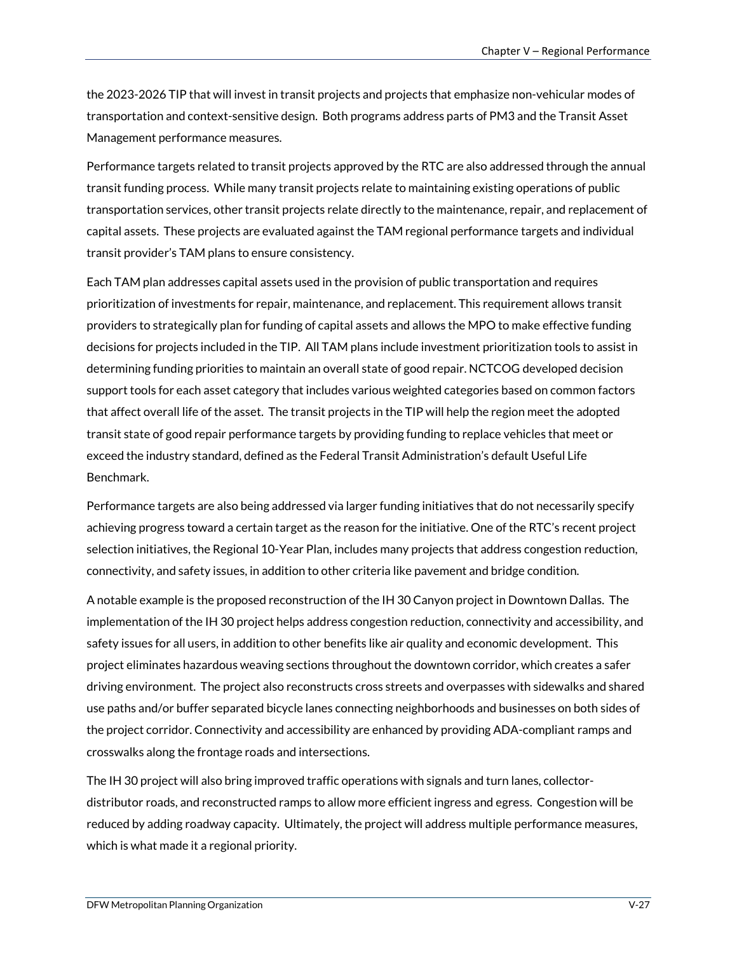the 2023-2026 TIP that will invest in transit projects and projects that emphasize non-vehicular modes of transportation and context-sensitive design. Both programs address parts of PM3 and the Transit Asset Management performance measures.

Performance targets related to transit projects approved by the RTC are also addressed through the annual transit funding process. While many transit projects relate to maintaining existing operations of public transportation services, other transit projects relate directly to the maintenance, repair, and replacement of capital assets. These projects are evaluated against the TAM regional performance targets and individual transit provider's TAM plans to ensure consistency.

Each TAM plan addresses capital assets used in the provision of public transportation and requires prioritization of investments for repair, maintenance, and replacement. This requirement allows transit providers to strategically plan for funding of capital assets and allows the MPO to make effective funding decisions for projects included in the TIP. All TAM plans include investment prioritization tools to assist in determining funding priorities to maintain an overall state of good repair. NCTCOG developed decision support tools for each asset category that includes various weighted categories based on common factors that affect overall life of the asset. The transit projects in the TIP will help the region meet the adopted transit state of good repair performance targets by providing funding to replace vehicles that meet or exceed the industry standard, defined as the Federal Transit Administration's default Useful Life Benchmark.

Performance targets are also being addressed via larger funding initiatives that do not necessarily specify achieving progress toward a certain target as the reason for the initiative. One of the RTC's recent project selection initiatives, the Regional 10-Year Plan, includes many projects that address congestion reduction, connectivity, and safety issues, in addition to other criteria like pavement and bridge condition.

A notable example is the proposed reconstruction of the IH 30 Canyon project in Downtown Dallas. The implementation of the IH 30 project helps address congestion reduction, connectivity and accessibility, and safety issues for all users, in addition to other benefits like air quality and economic development. This project eliminates hazardous weaving sections throughout the downtown corridor, which creates a safer driving environment. The project also reconstructs cross streets and overpasses with sidewalks and shared use paths and/or buffer separated bicycle lanes connecting neighborhoods and businesses on both sides of the project corridor. Connectivity and accessibility are enhanced by providing ADA-compliant ramps and crosswalks along the frontage roads and intersections.

The IH 30 project will also bring improved traffic operations with signals and turn lanes, collectordistributor roads, and reconstructed ramps to allow more efficient ingress and egress. Congestion will be reduced by adding roadway capacity. Ultimately, the project will address multiple performance measures, which is what made it a regional priority.